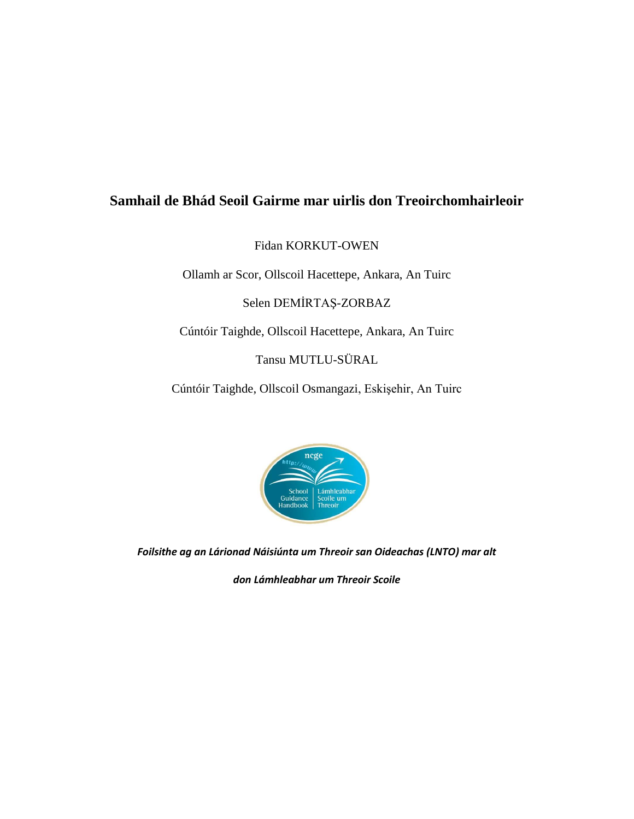## **Samhail de Bhád Seoil Gairme mar uirlis don Treoirchomhairleoir**

Fidan KORKUT-OWEN

Ollamh ar Scor, Ollscoil Hacettepe, Ankara, An Tuirc

Selen DEMİRTAŞ-ZORBAZ

Cúntóir Taighde, Ollscoil Hacettepe, Ankara, An Tuirc

Tansu MUTLU-SÜRAL

Cúntóir Taighde, Ollscoil Osmangazi, Eskişehir, An Tuirc



*Foilsithe ag an Lárionad Náisiúnta um Threoir san Oideachas (LNTO) mar alt* 

*don Lámhleabhar um Threoir Scoile*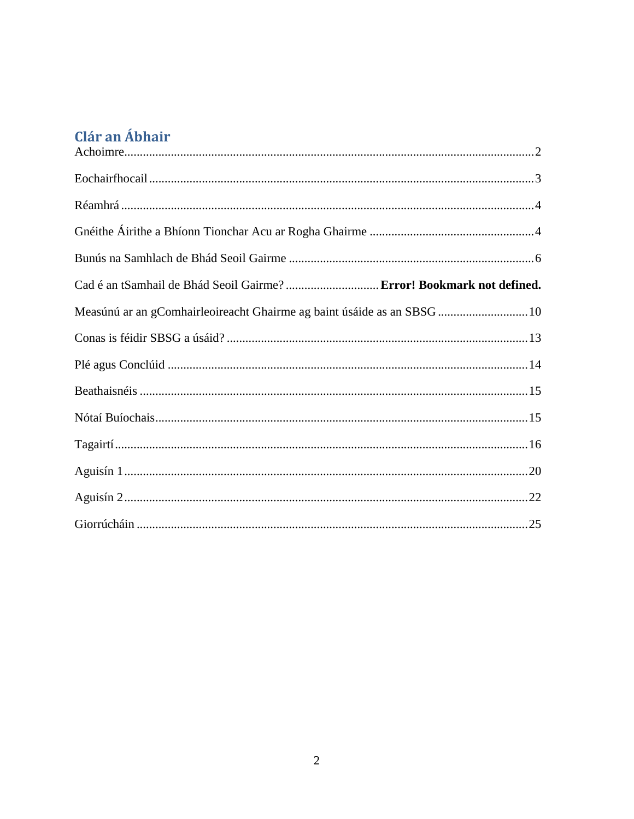# Clár an Ábhair

| Cad é an tSamhail de Bhád Seoil Gairme?  Error! Bookmark not defined.   |  |
|-------------------------------------------------------------------------|--|
| Measúnú ar an gComhairleoireacht Ghairme ag baint úsáide as an SBSG  10 |  |
|                                                                         |  |
|                                                                         |  |
|                                                                         |  |
|                                                                         |  |
|                                                                         |  |
|                                                                         |  |
|                                                                         |  |
|                                                                         |  |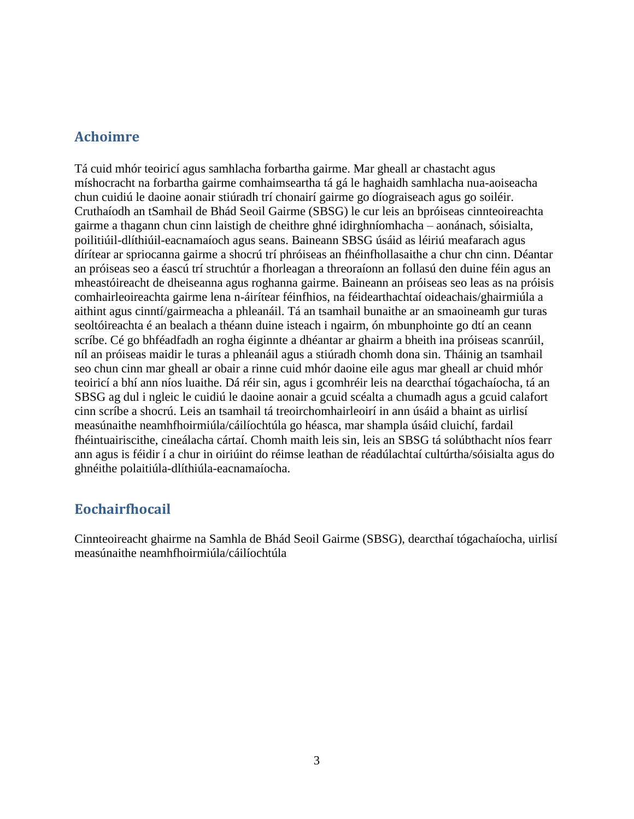#### **Achoimre**

Tá cuid mhór teoiricí agus samhlacha forbartha gairme. Mar gheall ar chastacht agus míshocracht na forbartha gairme comhaimseartha tá gá le haghaidh samhlacha nua-aoiseacha chun cuidiú le daoine aonair stiúradh trí chonairí gairme go díograiseach agus go soiléir. Cruthaíodh an tSamhail de Bhád Seoil Gairme (SBSG) le cur leis an bpróiseas cinnteoireachta gairme a thagann chun cinn laistigh de cheithre ghné idirghníomhacha – aonánach, sóisialta, poilitiúil-dlíthiúil-eacnamaíoch agus seans. Baineann SBSG úsáid as léiriú meafarach agus dírítear ar spriocanna gairme a shocrú trí phróiseas an fhéinfhollasaithe a chur chn cinn. Déantar an próiseas seo a éascú trí struchtúr a fhorleagan a threoraíonn an follasú den duine féin agus an mheastóireacht de dheiseanna agus roghanna gairme. Baineann an próiseas seo leas as na próisis comhairleoireachta gairme lena n-áirítear féinfhios, na féidearthachtaí oideachais/ghairmiúla a aithint agus cinntí/gairmeacha a phleanáil. Tá an tsamhail bunaithe ar an smaoineamh gur turas seoltóireachta é an bealach a théann duine isteach i ngairm, ón mbunphointe go dtí an ceann scríbe. Cé go bhféadfadh an rogha éiginnte a dhéantar ar ghairm a bheith ina próiseas scanrúil, níl an próiseas maidir le turas a phleanáil agus a stiúradh chomh dona sin. Tháinig an tsamhail seo chun cinn mar gheall ar obair a rinne cuid mhór daoine eile agus mar gheall ar chuid mhór teoiricí a bhí ann níos luaithe. Dá réir sin, agus i gcomhréir leis na dearcthaí tógachaíocha, tá an SBSG ag dul i ngleic le cuidiú le daoine aonair a gcuid scéalta a chumadh agus a gcuid calafort cinn scríbe a shocrú. Leis an tsamhail tá treoirchomhairleoirí in ann úsáid a bhaint as uirlisí measúnaithe neamhfhoirmiúla/cáilíochtúla go héasca, mar shampla úsáid cluichí, fardail fhéintuairiscithe, cineálacha cártaí. Chomh maith leis sin, leis an SBSG tá solúbthacht níos fearr ann agus is féidir í a chur in oiriúint do réimse leathan de réadúlachtaí cultúrtha/sóisialta agus do ghnéithe polaitiúla-dlíthiúla-eacnamaíocha.

### **Eochairfhocail**

Cinnteoireacht ghairme na Samhla de Bhád Seoil Gairme (SBSG), dearcthaí tógachaíocha, uirlisí measúnaithe neamhfhoirmiúla/cáilíochtúla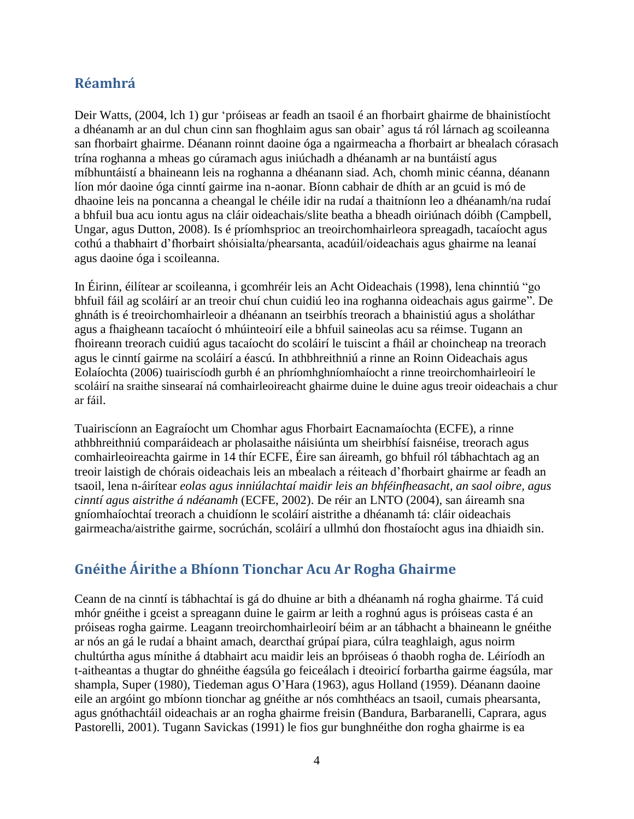## **Réamhrá**

Deir Watts, (2004, lch 1) gur 'próiseas ar feadh an tsaoil é an fhorbairt ghairme de bhainistíocht a dhéanamh ar an dul chun cinn san fhoghlaim agus san obair' agus tá ról lárnach ag scoileanna san fhorbairt ghairme. Déanann roinnt daoine óga a ngairmeacha a fhorbairt ar bhealach córasach trína roghanna a mheas go cúramach agus iniúchadh a dhéanamh ar na buntáistí agus míbhuntáistí a bhaineann leis na roghanna a dhéanann siad. Ach, chomh minic céanna, déanann líon mór daoine óga cinntí gairme ina n-aonar. Bíonn cabhair de dhíth ar an gcuid is mó de dhaoine leis na poncanna a cheangal le chéile idir na rudaí a thaitníonn leo a dhéanamh/na rudaí a bhfuil bua acu iontu agus na cláir oideachais/slite beatha a bheadh oiriúnach dóibh (Campbell, Ungar, agus Dutton, 2008). Is é príomhsprioc an treoirchomhairleora spreagadh, tacaíocht agus cothú a thabhairt d'fhorbairt shóisialta/phearsanta, acadúil/oideachais agus ghairme na leanaí agus daoine óga i scoileanna.

In Éirinn, éilítear ar scoileanna, i gcomhréir leis an Acht Oideachais (1998), lena chinntiú "go bhfuil fáil ag scoláirí ar an treoir chuí chun cuidiú leo ina roghanna oideachais agus gairme". De ghnáth is é treoirchomhairleoir a dhéanann an tseirbhís treorach a bhainistiú agus a sholáthar agus a fhaigheann tacaíocht ó mhúinteoirí eile a bhfuil saineolas acu sa réimse. Tugann an fhoireann treorach cuidiú agus tacaíocht do scoláirí le tuiscint a fháil ar choincheap na treorach agus le cinntí gairme na scoláirí a éascú. In athbhreithniú a rinne an Roinn Oideachais agus Eolaíochta (2006) tuairiscíodh gurbh é an phríomhghníomhaíocht a rinne treoirchomhairleoirí le scoláirí na sraithe sinsearaí ná comhairleoireacht ghairme duine le duine agus treoir oideachais a chur ar fáil.

Tuairiscíonn an Eagraíocht um Chomhar agus Fhorbairt Eacnamaíochta (ECFE), a rinne athbhreithniú comparáideach ar pholasaithe náisiúnta um sheirbhísí faisnéise, treorach agus comhairleoireachta gairme in 14 thír ECFE, Éire san áireamh, go bhfuil ról tábhachtach ag an treoir laistigh de chórais oideachais leis an mbealach a réiteach d'fhorbairt ghairme ar feadh an tsaoil, lena n-áirítear *eolas agus inniúlachtaí maidir leis an bhféinfheasacht, an saol oibre, agus cinntí agus aistrithe á ndéanamh* (ECFE, 2002). De réir an LNTO (2004), san áireamh sna gníomhaíochtaí treorach a chuidíonn le scoláirí aistrithe a dhéanamh tá: cláir oideachais gairmeacha/aistrithe gairme, socrúchán, scoláirí a ullmhú don fhostaíocht agus ina dhiaidh sin.

## **Gnéithe Áirithe a Bhíonn Tionchar Acu Ar Rogha Ghairme**

Ceann de na cinntí is tábhachtaí is gá do dhuine ar bith a dhéanamh ná rogha ghairme. Tá cuid mhór gnéithe i gceist a spreagann duine le gairm ar leith a roghnú agus is próiseas casta é an próiseas rogha gairme. Leagann treoirchomhairleoirí béim ar an tábhacht a bhaineann le gnéithe ar nós an gá le rudaí a bhaint amach, dearcthaí grúpaí piara, cúlra teaghlaigh, agus noirm chultúrtha agus mínithe á dtabhairt acu maidir leis an bpróiseas ó thaobh rogha de. Léiríodh an t-aitheantas a thugtar do ghnéithe éagsúla go feiceálach i dteoiricí forbartha gairme éagsúla, mar shampla, Super (1980), Tiedeman agus O'Hara (1963), agus Holland (1959). Déanann daoine eile an argóint go mbíonn tionchar ag gnéithe ar nós comhthéacs an tsaoil, cumais phearsanta, agus gnóthachtáil oideachais ar an rogha ghairme freisin (Bandura, Barbaranelli, Caprara, agus Pastorelli, 2001). Tugann Savickas (1991) le fios gur bunghnéithe don rogha ghairme is ea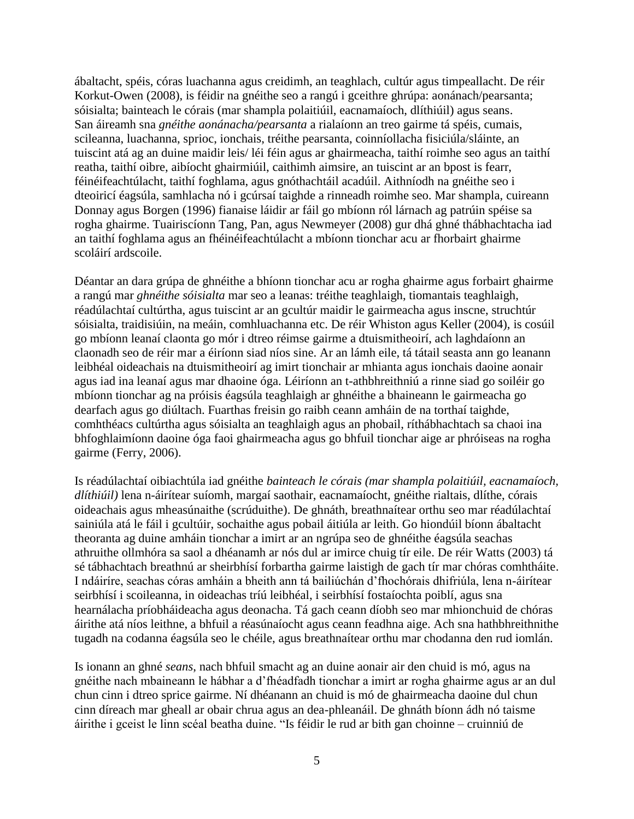ábaltacht, spéis, córas luachanna agus creidimh, an teaghlach, cultúr agus timpeallacht. De réir Korkut-Owen (2008), is féidir na gnéithe seo a rangú i gceithre ghrúpa: aonánach/pearsanta; sóisialta; bainteach le córais (mar shampla polaitiúil, eacnamaíoch, dlíthiúil) agus seans. San áireamh sna *gnéithe aonánacha/pearsanta* a rialaíonn an treo gairme tá spéis, cumais, scileanna, luachanna, sprioc, ionchais, tréithe pearsanta, coinníollacha fisiciúla/sláinte, an tuiscint atá ag an duine maidir leis/ léi féin agus ar ghairmeacha, taithí roimhe seo agus an taithí reatha, taithí oibre, aibíocht ghairmiúil, caithimh aimsire, an tuiscint ar an bpost is fearr, féinéifeachtúlacht, taithí foghlama, agus gnóthachtáil acadúil. Aithníodh na gnéithe seo i dteoiricí éagsúla, samhlacha nó i gcúrsaí taighde a rinneadh roimhe seo. Mar shampla, cuireann Donnay agus Borgen (1996) fianaise láidir ar fáil go mbíonn ról lárnach ag patrúin spéise sa rogha ghairme. Tuairiscíonn Tang, Pan, agus Newmeyer (2008) gur dhá ghné thábhachtacha iad an taithí foghlama agus an fhéinéifeachtúlacht a mbíonn tionchar acu ar fhorbairt ghairme scoláirí ardscoile.

Déantar an dara grúpa de ghnéithe a bhíonn tionchar acu ar rogha ghairme agus forbairt ghairme a rangú mar *ghnéithe sóisialta* mar seo a leanas: tréithe teaghlaigh, tiomantais teaghlaigh, réadúlachtaí cultúrtha, agus tuiscint ar an gcultúr maidir le gairmeacha agus inscne, struchtúr sóisialta, traidisiúin, na meáin, comhluachanna etc. De réir Whiston agus Keller (2004), is cosúil go mbíonn leanaí claonta go mór i dtreo réimse gairme a dtuismitheoirí, ach laghdaíonn an claonadh seo de réir mar a éiríonn siad níos sine. Ar an lámh eile, tá tátail seasta ann go leanann leibhéal oideachais na dtuismitheoirí ag imirt tionchair ar mhianta agus ionchais daoine aonair agus iad ina leanaí agus mar dhaoine óga. Léiríonn an t-athbhreithniú a rinne siad go soiléir go mbíonn tionchar ag na próisis éagsúla teaghlaigh ar ghnéithe a bhaineann le gairmeacha go dearfach agus go diúltach. Fuarthas freisin go raibh ceann amháin de na torthaí taighde, comhthéacs cultúrtha agus sóisialta an teaghlaigh agus an phobail, ríthábhachtach sa chaoi ina bhfoghlaimíonn daoine óga faoi ghairmeacha agus go bhfuil tionchar aige ar phróiseas na rogha gairme (Ferry, 2006).

Is réadúlachtaí oibiachtúla iad gnéithe *bainteach le córais (mar shampla polaitiúil, eacnamaíoch, dlíthiúil)* lena n-áirítear suíomh, margaí saothair, eacnamaíocht, gnéithe rialtais, dlíthe, córais oideachais agus mheasúnaithe (scrúduithe). De ghnáth, breathnaítear orthu seo mar réadúlachtaí sainiúla atá le fáil i gcultúir, sochaithe agus pobail áitiúla ar leith. Go hiondúil bíonn ábaltacht theoranta ag duine amháin tionchar a imirt ar an ngrúpa seo de ghnéithe éagsúla seachas athruithe ollmhóra sa saol a dhéanamh ar nós dul ar imirce chuig tír eile. De réir Watts (2003) tá sé tábhachtach breathnú ar sheirbhísí forbartha gairme laistigh de gach tír mar chóras comhtháite. I ndáiríre, seachas córas amháin a bheith ann tá bailiúchán d'fhochórais dhifriúla, lena n-áirítear seirbhísí i scoileanna, in oideachas tríú leibhéal, i seirbhísí fostaíochta poiblí, agus sna hearnálacha príobháideacha agus deonacha. Tá gach ceann díobh seo mar mhionchuid de chóras áirithe atá níos leithne, a bhfuil a réasúnaíocht agus ceann feadhna aige. Ach sna hathbhreithnithe tugadh na codanna éagsúla seo le chéile, agus breathnaítear orthu mar chodanna den rud iomlán.

Is ionann an ghné *seans*, nach bhfuil smacht ag an duine aonair air den chuid is mó, agus na gnéithe nach mbaineann le hábhar a d'fhéadfadh tionchar a imirt ar rogha ghairme agus ar an dul chun cinn i dtreo sprice gairme. Ní dhéanann an chuid is mó de ghairmeacha daoine dul chun cinn díreach mar gheall ar obair chrua agus an dea-phleanáil. De ghnáth bíonn ádh nó taisme áirithe i gceist le linn scéal beatha duine. "Is féidir le rud ar bith gan choinne – cruinniú de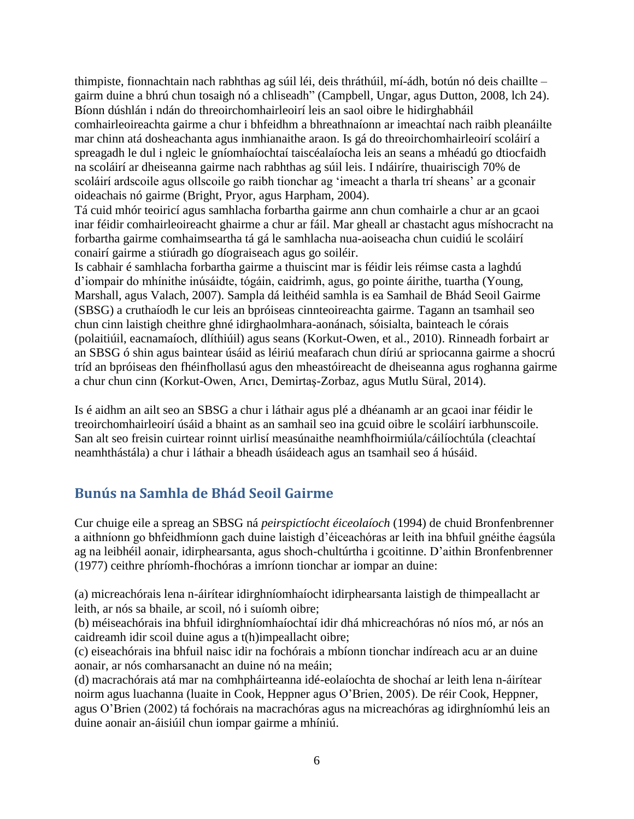thimpiste, fionnachtain nach rabhthas ag súil léi, deis thráthúil, mí-ádh, botún nó deis chaillte – gairm duine a bhrú chun tosaigh nó a chliseadh" (Campbell, Ungar, agus Dutton, 2008, lch 24). Bíonn dúshlán i ndán do threoirchomhairleoirí leis an saol oibre le hidirghabháil comhairleoireachta gairme a chur i bhfeidhm a bhreathnaíonn ar imeachtaí nach raibh pleanáilte mar chinn atá dosheachanta agus inmhianaithe araon. Is gá do threoirchomhairleoirí scoláirí a spreagadh le dul i ngleic le gníomhaíochtaí taiscéalaíocha leis an seans a mhéadú go dtiocfaidh na scoláirí ar dheiseanna gairme nach rabhthas ag súil leis. I ndáiríre, thuairiscigh 70% de scoláirí ardscoile agus ollscoile go raibh tionchar ag 'imeacht a tharla trí sheans' ar a gconair oideachais nó gairme (Bright, Pryor, agus Harpham, 2004).

Tá cuid mhór teoiricí agus samhlacha forbartha gairme ann chun comhairle a chur ar an gcaoi inar féidir comhairleoireacht ghairme a chur ar fáil. Mar gheall ar chastacht agus míshocracht na forbartha gairme comhaimseartha tá gá le samhlacha nua-aoiseacha chun cuidiú le scoláirí conairí gairme a stiúradh go díograiseach agus go soiléir.

Is cabhair é samhlacha forbartha gairme a thuiscint mar is féidir leis réimse casta a laghdú d'iompair do mhínithe inúsáidte, tógáin, caidrimh, agus, go pointe áirithe, tuartha (Young, Marshall, agus Valach, 2007). Sampla dá leithéid samhla is ea Samhail de Bhád Seoil Gairme (SBSG) a cruthaíodh le cur leis an bpróiseas cinnteoireachta gairme. Tagann an tsamhail seo chun cinn laistigh cheithre ghné idirghaolmhara-aonánach, sóisialta, bainteach le córais (polaitiúil, eacnamaíoch, dlíthiúil) agus seans (Korkut-Owen, et al., 2010). Rinneadh forbairt ar an SBSG ó shin agus baintear úsáid as léiriú meafarach chun díriú ar spriocanna gairme a shocrú tríd an bpróiseas den fhéinfhollasú agus den mheastóireacht de dheiseanna agus roghanna gairme a chur chun cinn (Korkut-Owen, Arıcı, Demirtaş-Zorbaz, agus Mutlu Süral, 2014).

Is é aidhm an ailt seo an SBSG a chur i láthair agus plé a dhéanamh ar an gcaoi inar féidir le treoirchomhairleoirí úsáid a bhaint as an samhail seo ina gcuid oibre le scoláirí iarbhunscoile. San alt seo freisin cuirtear roinnt uirlisí measúnaithe neamhfhoirmiúla/cáilíochtúla (cleachtaí neamhthástála) a chur i láthair a bheadh úsáideach agus an tsamhail seo á húsáid.

## **Bunús na Samhla de Bhád Seoil Gairme**

Cur chuige eile a spreag an SBSG ná *peirspictíocht éiceolaíoch* (1994) de chuid Bronfenbrenner a aithníonn go bhfeidhmíonn gach duine laistigh d'éiceachóras ar leith ina bhfuil gnéithe éagsúla ag na leibhéil aonair, idirphearsanta, agus shoch-chultúrtha i gcoitinne. D'aithin Bronfenbrenner (1977) ceithre phríomh-fhochóras a imríonn tionchar ar iompar an duine:

(a) micreachórais lena n-áirítear idirghníomhaíocht idirphearsanta laistigh de thimpeallacht ar leith, ar nós sa bhaile, ar scoil, nó i suíomh oibre;

(b) méiseachórais ina bhfuil idirghníomhaíochtaí idir dhá mhicreachóras nó níos mó, ar nós an caidreamh idir scoil duine agus a t(h)impeallacht oibre;

(c) eiseachórais ina bhfuil naisc idir na fochórais a mbíonn tionchar indíreach acu ar an duine aonair, ar nós comharsanacht an duine nó na meáin;

(d) macrachórais atá mar na comhpháirteanna idé-eolaíochta de shochaí ar leith lena n-áirítear noirm agus luachanna (luaite in Cook, Heppner agus O'Brien, 2005). De réir Cook, Heppner, agus O'Brien (2002) tá fochórais na macrachóras agus na micreachóras ag idirghníomhú leis an duine aonair an-áisiúil chun iompar gairme a mhíniú.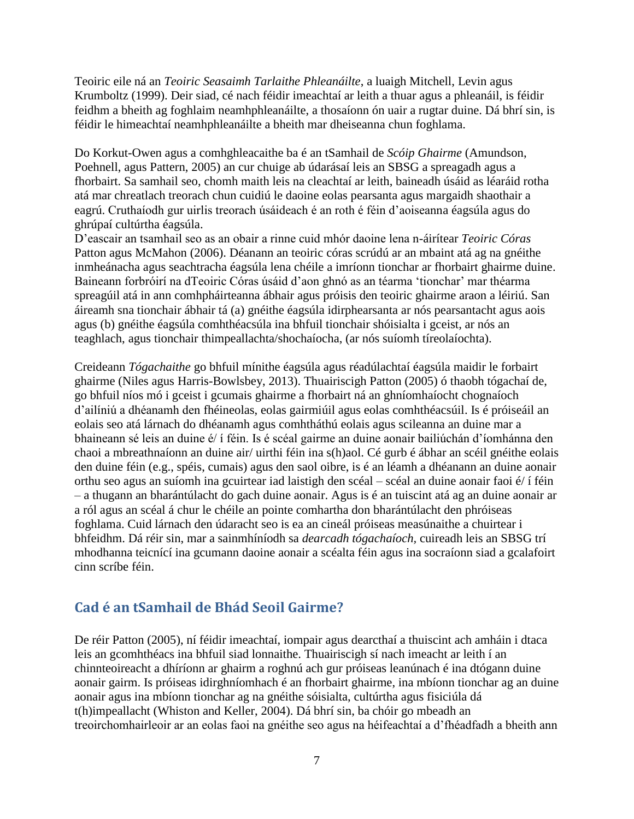Teoiric eile ná an *Teoiric Seasaimh Tarlaithe Phleanáilte*, a luaigh Mitchell, Levin agus Krumboltz (1999). Deir siad, cé nach féidir imeachtaí ar leith a thuar agus a phleanáil, is féidir feidhm a bheith ag foghlaim neamhphleanáilte, a thosaíonn ón uair a rugtar duine. Dá bhrí sin, is féidir le himeachtaí neamhphleanáilte a bheith mar dheiseanna chun foghlama.

Do Korkut-Owen agus a comhghleacaithe ba é an tSamhail de *Scóip Ghairme* (Amundson, Poehnell, agus Pattern, 2005) an cur chuige ab údarásaí leis an SBSG a spreagadh agus a fhorbairt. Sa samhail seo, chomh maith leis na cleachtaí ar leith, baineadh úsáid as léaráid rotha atá mar chreatlach treorach chun cuidiú le daoine eolas pearsanta agus margaidh shaothair a eagrú. Cruthaíodh gur uirlis treorach úsáideach é an roth é féin d'aoiseanna éagsúla agus do ghrúpaí cultúrtha éagsúla.

D'eascair an tsamhail seo as an obair a rinne cuid mhór daoine lena n-áirítear *Teoiric Córas*  Patton agus McMahon (2006). Déanann an teoiric córas scrúdú ar an mbaint atá ag na gnéithe inmheánacha agus seachtracha éagsúla lena chéile a imríonn tionchar ar fhorbairt ghairme duine. Baineann forbróirí na dTeoiric Córas úsáid d'aon ghnó as an téarma 'tionchar' mar théarma spreagúil atá in ann comhpháirteanna ábhair agus próisis den teoiric ghairme araon a léiriú. San áireamh sna tionchair ábhair tá (a) gnéithe éagsúla idirphearsanta ar nós pearsantacht agus aois agus (b) gnéithe éagsúla comhthéacsúla ina bhfuil tionchair shóisialta i gceist, ar nós an teaghlach, agus tionchair thimpeallachta/shochaíocha, (ar nós suíomh tíreolaíochta).

Creideann *Tógachaithe* go bhfuil mínithe éagsúla agus réadúlachtaí éagsúla maidir le forbairt ghairme (Niles agus Harris-Bowlsbey, 2013). Thuairiscigh Patton (2005) ó thaobh tógachaí de, go bhfuil níos mó i gceist i gcumais ghairme a fhorbairt ná an ghníomhaíocht chognaíoch d'ailíniú a dhéanamh den fhéineolas, eolas gairmiúil agus eolas comhthéacsúil. Is é próiseáil an eolais seo atá lárnach do dhéanamh agus comhtháthú eolais agus scileanna an duine mar a bhaineann sé leis an duine é/ í féin. Is é scéal gairme an duine aonair bailiúchán d'íomhánna den chaoi a mbreathnaíonn an duine air/ uirthi féin ina s(h)aol. Cé gurb é ábhar an scéil gnéithe eolais den duine féin (e.g., spéis, cumais) agus den saol oibre, is é an léamh a dhéanann an duine aonair orthu seo agus an suíomh ina gcuirtear iad laistigh den scéal – scéal an duine aonair faoi é/ í féin – a thugann an bharántúlacht do gach duine aonair. Agus is é an tuiscint atá ag an duine aonair ar a ról agus an scéal á chur le chéile an pointe comhartha don bharántúlacht den phróiseas foghlama. Cuid lárnach den údaracht seo is ea an cineál próiseas measúnaithe a chuirtear i bhfeidhm. Dá réir sin, mar a sainmhíníodh sa *dearcadh tógachaíoch,* cuireadh leis an SBSG trí mhodhanna teicnící ina gcumann daoine aonair a scéalta féin agus ina socraíonn siad a gcalafoirt cinn scríbe féin.

## **Cad é an tSamhail de Bhád Seoil Gairme?**

De réir Patton (2005), ní féidir imeachtaí, iompair agus dearcthaí a thuiscint ach amháin i dtaca leis an gcomhthéacs ina bhfuil siad lonnaithe. Thuairiscigh sí nach imeacht ar leith í an chinnteoireacht a dhíríonn ar ghairm a roghnú ach gur próiseas leanúnach é ina dtógann duine aonair gairm. Is próiseas idirghníomhach é an fhorbairt ghairme, ina mbíonn tionchar ag an duine aonair agus ina mbíonn tionchar ag na gnéithe sóisialta, cultúrtha agus fisiciúla dá t(h)impeallacht (Whiston and Keller, 2004). Dá bhrí sin, ba chóir go mbeadh an treoirchomhairleoir ar an eolas faoi na gnéithe seo agus na héifeachtaí a d'fhéadfadh a bheith ann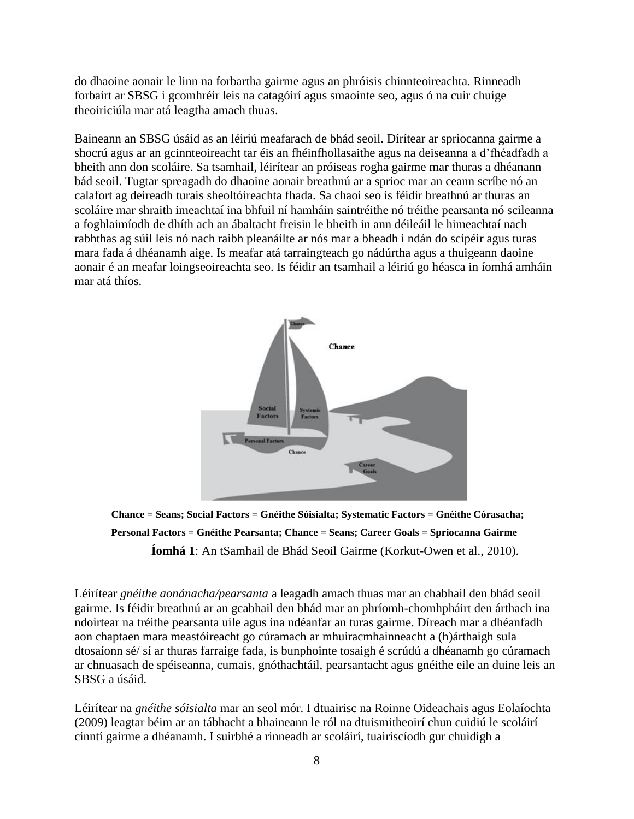do dhaoine aonair le linn na forbartha gairme agus an phróisis chinnteoireachta. Rinneadh forbairt ar SBSG i gcomhréir leis na catagóirí agus smaointe seo, agus ó na cuir chuige theoiriciúla mar atá leagtha amach thuas.

Baineann an SBSG úsáid as an léiriú meafarach de bhád seoil. Dírítear ar spriocanna gairme a shocrú agus ar an gcinnteoireacht tar éis an fhéinfhollasaithe agus na deiseanna a d'fhéadfadh a bheith ann don scoláire. Sa tsamhail, léirítear an próiseas rogha gairme mar thuras a dhéanann bád seoil. Tugtar spreagadh do dhaoine aonair breathnú ar a sprioc mar an ceann scríbe nó an calafort ag deireadh turais sheoltóireachta fhada. Sa chaoi seo is féidir breathnú ar thuras an scoláire mar shraith imeachtaí ina bhfuil ní hamháin saintréithe nó tréithe pearsanta nó scileanna a foghlaimíodh de dhíth ach an ábaltacht freisin le bheith in ann déileáil le himeachtaí nach rabhthas ag súil leis nó nach raibh pleanáilte ar nós mar a bheadh i ndán do scipéir agus turas mara fada á dhéanamh aige. Is meafar atá tarraingteach go nádúrtha agus a thuigeann daoine aonair é an meafar loingseoireachta seo. Is féidir an tsamhail a léiriú go héasca in íomhá amháin mar atá thíos.



**Chance = Seans; Social Factors = Gnéithe Sóisialta; Systematic Factors = Gnéithe Córasacha; Personal Factors = Gnéithe Pearsanta; Chance = Seans; Career Goals = Spriocanna Gairme Íomhá 1**: An tSamhail de Bhád Seoil Gairme (Korkut-Owen et al., 2010).

Léirítear *gnéithe aonánacha/pearsanta* a leagadh amach thuas mar an chabhail den bhád seoil gairme. Is féidir breathnú ar an gcabhail den bhád mar an phríomh-chomhpháirt den árthach ina ndoirtear na tréithe pearsanta uile agus ina ndéanfar an turas gairme. Díreach mar a dhéanfadh aon chaptaen mara meastóireacht go cúramach ar mhuiracmhainneacht a (h)árthaigh sula dtosaíonn sé/ sí ar thuras farraige fada, is bunphointe tosaigh é scrúdú a dhéanamh go cúramach ar chnuasach de spéiseanna, cumais, gnóthachtáil, pearsantacht agus gnéithe eile an duine leis an SBSG a úsáid.

Léirítear na *gnéithe sóisialta* mar an seol mór. I dtuairisc na Roinne Oideachais agus Eolaíochta (2009) leagtar béim ar an tábhacht a bhaineann le ról na dtuismitheoirí chun cuidiú le scoláirí cinntí gairme a dhéanamh. I suirbhé a rinneadh ar scoláirí, tuairiscíodh gur chuidigh a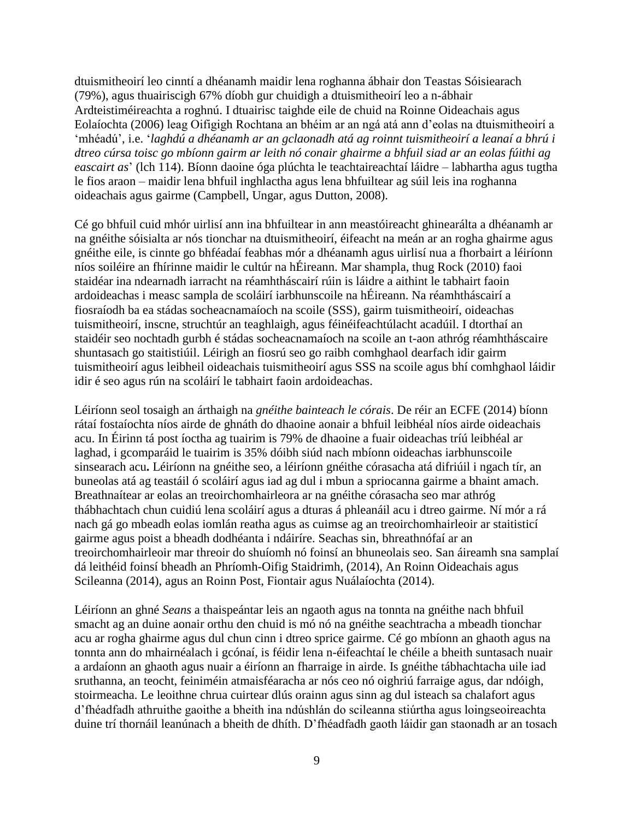dtuismitheoirí leo cinntí a dhéanamh maidir lena roghanna ábhair don Teastas Sóisiearach (79%), agus thuairiscigh 67% díobh gur chuidigh a dtuismitheoirí leo a n-ábhair Ardteistiméireachta a roghnú. I dtuairisc taighde eile de chuid na Roinne Oideachais agus Eolaíochta (2006) leag Oifigigh Rochtana an bhéim ar an ngá atá ann d'eolas na dtuismitheoirí a 'mhéadú', i.e. '*laghdú a dhéanamh ar an gclaonadh atá ag roinnt tuismitheoirí a leanaí a bhrú i dtreo cúrsa toisc go mbíonn gairm ar leith nó conair ghairme a bhfuil siad ar an eolas fúithi ag eascairt as*' (lch 114). Bíonn daoine óga plúchta le teachtaireachtaí láidre – labhartha agus tugtha le fios araon – maidir lena bhfuil inghlactha agus lena bhfuiltear ag súil leis ina roghanna oideachais agus gairme (Campbell, Ungar, agus Dutton, 2008).

Cé go bhfuil cuid mhór uirlisí ann ina bhfuiltear in ann meastóireacht ghinearálta a dhéanamh ar na gnéithe sóisialta ar nós tionchar na dtuismitheoirí, éifeacht na meán ar an rogha ghairme agus gnéithe eile, is cinnte go bhféadaí feabhas mór a dhéanamh agus uirlisí nua a fhorbairt a léiríonn níos soiléire an fhírinne maidir le cultúr na hÉireann. Mar shampla, thug Rock (2010) faoi staidéar ina ndearnadh iarracht na réamhtháscairí rúin is láidre a aithint le tabhairt faoin ardoideachas i measc sampla de scoláirí iarbhunscoile na hÉireann. Na réamhtháscairí a fiosraíodh ba ea stádas socheacnamaíoch na scoile (SSS), gairm tuismitheoirí, oideachas tuismitheoirí, inscne, struchtúr an teaghlaigh, agus féinéifeachtúlacht acadúil. I dtorthaí an staidéir seo nochtadh gurbh é stádas socheacnamaíoch na scoile an t-aon athróg réamhtháscaire shuntasach go staitistiúil. Léirigh an fiosrú seo go raibh comhghaol dearfach idir gairm tuismitheoirí agus leibheil oideachais tuismitheoirí agus SSS na scoile agus bhí comhghaol láidir idir é seo agus rún na scoláirí le tabhairt faoin ardoideachas.

Léiríonn seol tosaigh an árthaigh na *gnéithe bainteach le córais*. De réir an ECFE (2014) bíonn rátaí fostaíochta níos airde de ghnáth do dhaoine aonair a bhfuil leibhéal níos airde oideachais acu. In Éirinn tá post íoctha ag tuairim is 79% de dhaoine a fuair oideachas tríú leibhéal ar laghad, i gcomparáid le tuairim is 35% dóibh siúd nach mbíonn oideachas iarbhunscoile sinsearach acu**.** Léiríonn na gnéithe seo, a léiríonn gnéithe córasacha atá difriúil i ngach tír, an buneolas atá ag teastáil ó scoláirí agus iad ag dul i mbun a spriocanna gairme a bhaint amach. Breathnaítear ar eolas an treoirchomhairleora ar na gnéithe córasacha seo mar athróg thábhachtach chun cuidiú lena scoláirí agus a dturas á phleanáil acu i dtreo gairme. Ní mór a rá nach gá go mbeadh eolas iomlán reatha agus as cuimse ag an treoirchomhairleoir ar staitisticí gairme agus poist a bheadh dodhéanta i ndáiríre. Seachas sin, bhreathnófaí ar an treoirchomhairleoir mar threoir do shuíomh nó foinsí an bhuneolais seo. San áireamh sna samplaí dá leithéid foinsí bheadh an Phríomh-Oifig Staidrimh, (2014), An Roinn Oideachais agus Scileanna (2014), agus an Roinn Post, Fiontair agus Nuálaíochta (2014).

Léiríonn an ghné *Seans* a thaispeántar leis an ngaoth agus na tonnta na gnéithe nach bhfuil smacht ag an duine aonair orthu den chuid is mó nó na gnéithe seachtracha a mbeadh tionchar acu ar rogha ghairme agus dul chun cinn i dtreo sprice gairme. Cé go mbíonn an ghaoth agus na tonnta ann do mhairnéalach i gcónaí, is féidir lena n-éifeachtaí le chéile a bheith suntasach nuair a ardaíonn an ghaoth agus nuair a éiríonn an fharraige in airde. Is gnéithe tábhachtacha uile iad sruthanna, an teocht, feiniméin atmaisféaracha ar nós ceo nó oighriú farraige agus, dar ndóigh, stoirmeacha. Le leoithne chrua cuirtear dlús orainn agus sinn ag dul isteach sa chalafort agus d'fhéadfadh athruithe gaoithe a bheith ina ndúshlán do scileanna stiúrtha agus loingseoireachta duine trí thornáil leanúnach a bheith de dhíth. D'fhéadfadh gaoth láidir gan staonadh ar an tosach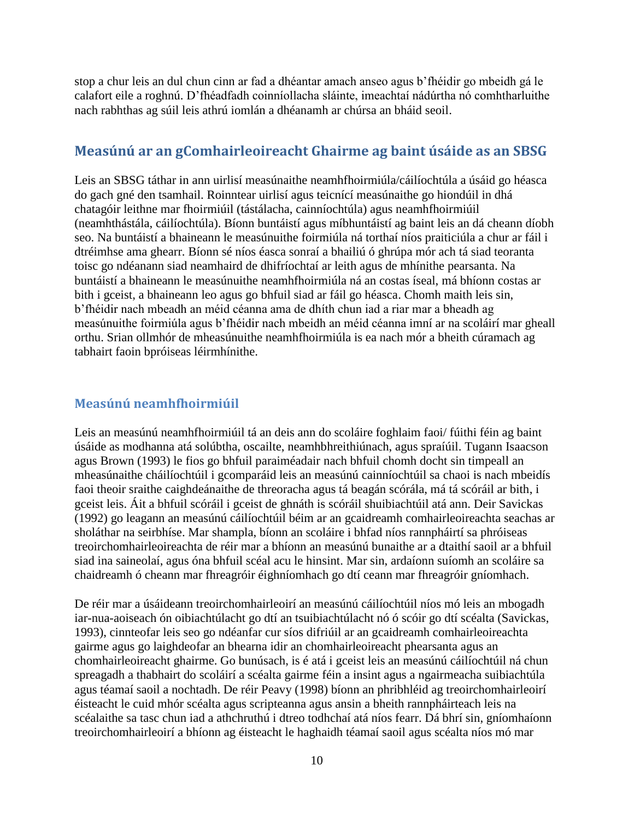stop a chur leis an dul chun cinn ar fad a dhéantar amach anseo agus b'fhéidir go mbeidh gá le calafort eile a roghnú. D'fhéadfadh coinníollacha sláinte, imeachtaí nádúrtha nó comhtharluithe nach rabhthas ag súil leis athrú iomlán a dhéanamh ar chúrsa an bháid seoil.

## **Measúnú ar an gComhairleoireacht Ghairme ag baint úsáide as an SBSG**

Leis an SBSG táthar in ann uirlisí measúnaithe neamhfhoirmiúla/cáilíochtúla a úsáid go héasca do gach gné den tsamhail. Roinntear uirlisí agus teicnící measúnaithe go hiondúil in dhá chatagóir leithne mar fhoirmiúil (tástálacha, cainníochtúla) agus neamhfhoirmiúil (neamhthástála, cáilíochtúla). Bíonn buntáistí agus míbhuntáistí ag baint leis an dá cheann díobh seo. Na buntáistí a bhaineann le measúnuithe foirmiúla ná torthaí níos praiticiúla a chur ar fáil i dtréimhse ama ghearr. Bíonn sé níos éasca sonraí a bhailiú ó ghrúpa mór ach tá siad teoranta toisc go ndéanann siad neamhaird de dhifríochtaí ar leith agus de mhínithe pearsanta. Na buntáistí a bhaineann le measúnuithe neamhfhoirmiúla ná an costas íseal, má bhíonn costas ar bith i gceist, a bhaineann leo agus go bhfuil siad ar fáil go héasca. Chomh maith leis sin, b'fhéidir nach mbeadh an méid céanna ama de dhíth chun iad a riar mar a bheadh ag measúnuithe foirmiúla agus b'fhéidir nach mbeidh an méid céanna imní ar na scoláirí mar gheall orthu. Srian ollmhór de mheasúnuithe neamhfhoirmiúla is ea nach mór a bheith cúramach ag tabhairt faoin bpróiseas léirmhínithe.

#### **Measúnú neamhfhoirmiúil**

Leis an measúnú neamhfhoirmiúil tá an deis ann do scoláire foghlaim faoi/ fúithi féin ag baint úsáide as modhanna atá solúbtha, oscailte, neamhbhreithiúnach, agus spraíúil. Tugann Isaacson agus Brown (1993) le fios go bhfuil paraiméadair nach bhfuil chomh docht sin timpeall an mheasúnaithe cháilíochtúil i gcomparáid leis an measúnú cainníochtúil sa chaoi is nach mbeidís faoi theoir sraithe caighdeánaithe de threoracha agus tá beagán scórála, má tá scóráil ar bith, i gceist leis. Áit a bhfuil scóráil i gceist de ghnáth is scóráil shuibiachtúil atá ann. Deir Savickas (1992) go leagann an measúnú cáilíochtúil béim ar an gcaidreamh comhairleoireachta seachas ar sholáthar na seirbhíse. Mar shampla, bíonn an scoláire i bhfad níos rannpháirtí sa phróiseas treoirchomhairleoireachta de réir mar a bhíonn an measúnú bunaithe ar a dtaithí saoil ar a bhfuil siad ina saineolaí, agus óna bhfuil scéal acu le hinsint. Mar sin, ardaíonn suíomh an scoláire sa chaidreamh ó cheann mar fhreagróir éighníomhach go dtí ceann mar fhreagróir gníomhach.

De réir mar a úsáideann treoirchomhairleoirí an measúnú cáilíochtúil níos mó leis an mbogadh iar-nua-aoiseach ón oibiachtúlacht go dtí an tsuibiachtúlacht nó ó scóir go dtí scéalta (Savickas, 1993), cinnteofar leis seo go ndéanfar cur síos difriúil ar an gcaidreamh comhairleoireachta gairme agus go laighdeofar an bhearna idir an chomhairleoireacht phearsanta agus an chomhairleoireacht ghairme. Go bunúsach, is é atá i gceist leis an measúnú cáilíochtúil ná chun spreagadh a thabhairt do scoláirí a scéalta gairme féin a insint agus a ngairmeacha suibiachtúla agus téamaí saoil a nochtadh. De réir Peavy (1998) bíonn an phribhléid ag treoirchomhairleoirí éisteacht le cuid mhór scéalta agus scripteanna agus ansin a bheith rannpháirteach leis na scéalaithe sa tasc chun iad a athchruthú i dtreo todhchaí atá níos fearr. Dá bhrí sin, gníomhaíonn treoirchomhairleoirí a bhíonn ag éisteacht le haghaidh téamaí saoil agus scéalta níos mó mar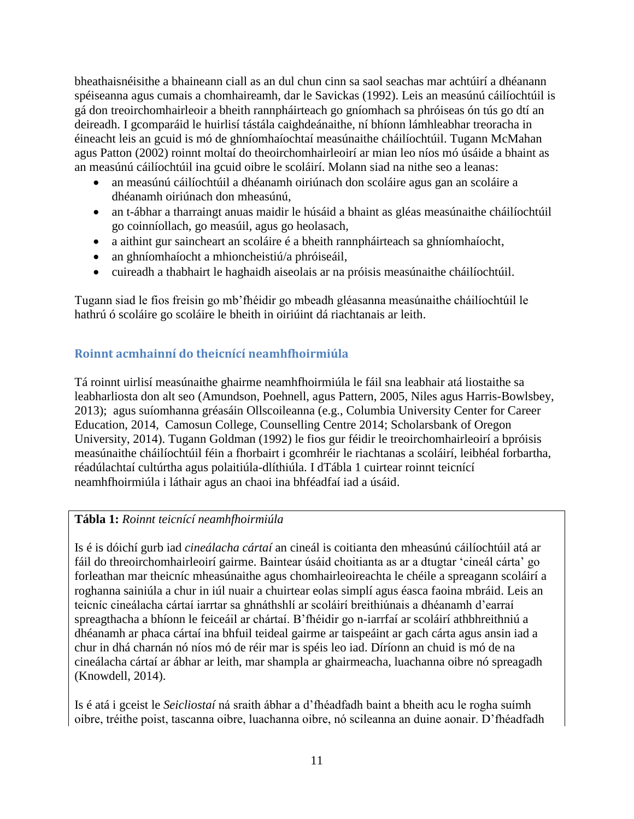bheathaisnéisithe a bhaineann ciall as an dul chun cinn sa saol seachas mar achtúirí a dhéanann spéiseanna agus cumais a chomhaireamh, dar le Savickas (1992). Leis an measúnú cáilíochtúil is gá don treoirchomhairleoir a bheith rannpháirteach go gníomhach sa phróiseas ón tús go dtí an deireadh. I gcomparáid le huirlisí tástála caighdeánaithe, ní bhíonn lámhleabhar treoracha in éineacht leis an gcuid is mó de ghníomhaíochtaí measúnaithe cháilíochtúil. Tugann McMahan agus Patton (2002) roinnt moltaí do theoirchomhairleoirí ar mian leo níos mó úsáide a bhaint as an measúnú cáilíochtúil ina gcuid oibre le scoláirí. Molann siad na nithe seo a leanas:

- an measúnú cáilíochtúil a dhéanamh oiriúnach don scoláire agus gan an scoláire a dhéanamh oiriúnach don mheasúnú,
- an t-ábhar a tharraingt anuas maidir le húsáid a bhaint as gléas measúnaithe cháilíochtúil go coinníollach, go measúil, agus go heolasach,
- a aithint gur saincheart an scoláire é a bheith rannpháirteach sa ghníomhaíocht,
- an ghníomhaíocht a mhioncheistiú/a phróiseáil,
- cuireadh a thabhairt le haghaidh aiseolais ar na próisis measúnaithe cháilíochtúil.

Tugann siad le fios freisin go mb'fhéidir go mbeadh gléasanna measúnaithe cháilíochtúil le hathrú ó scoláire go scoláire le bheith in oiriúint dá riachtanais ar leith.

### **Roinnt acmhainní do theicnící neamhfhoirmiúla**

Tá roinnt uirlisí measúnaithe ghairme neamhfhoirmiúla le fáil sna leabhair atá liostaithe sa leabharliosta don alt seo (Amundson, Poehnell, agus Pattern, 2005, Niles agus Harris-Bowlsbey, 2013); agus suíomhanna gréasáin Ollscoileanna (e.g., Columbia University Center for Career Education, 2014, Camosun College, Counselling Centre 2014; Scholarsbank of Oregon University, 2014). Tugann Goldman (1992) le fios gur féidir le treoirchomhairleoirí a bpróisis measúnaithe cháilíochtúil féin a fhorbairt i gcomhréir le riachtanas a scoláirí, leibhéal forbartha, réadúlachtaí cultúrtha agus polaitiúla-dlíthiúla. I dTábla 1 cuirtear roinnt teicnící neamhfhoirmiúla i láthair agus an chaoi ina bhféadfaí iad a úsáid.

#### **Tábla 1:** *Roinnt teicnící neamhfhoirmiúla*

Is é is dóichí gurb iad *cineálacha cártaí* an cineál is coitianta den mheasúnú cáilíochtúil atá ar fáil do threoirchomhairleoirí gairme. Baintear úsáid choitianta as ar a dtugtar 'cineál cárta' go forleathan mar theicníc mheasúnaithe agus chomhairleoireachta le chéile a spreagann scoláirí a roghanna sainiúla a chur in iúl nuair a chuirtear eolas simplí agus éasca faoina mbráid. Leis an teicníc cineálacha cártaí iarrtar sa ghnáthshlí ar scoláirí breithiúnais a dhéanamh d'earraí spreagthacha a bhíonn le feiceáil ar chártaí. B'fhéidir go n-iarrfaí ar scoláirí athbhreithniú a dhéanamh ar phaca cártaí ina bhfuil teideal gairme ar taispeáint ar gach cárta agus ansin iad a chur in dhá charnán nó níos mó de réir mar is spéis leo iad. Díríonn an chuid is mó de na cineálacha cártaí ar ábhar ar leith, mar shampla ar ghairmeacha, luachanna oibre nó spreagadh (Knowdell, 2014).

Is é atá i gceist le *Seicliostaí* ná sraith ábhar a d'fhéadfadh baint a bheith acu le rogha suímh oibre, tréithe poist, tascanna oibre, luachanna oibre, nó scileanna an duine aonair. D'fhéadfadh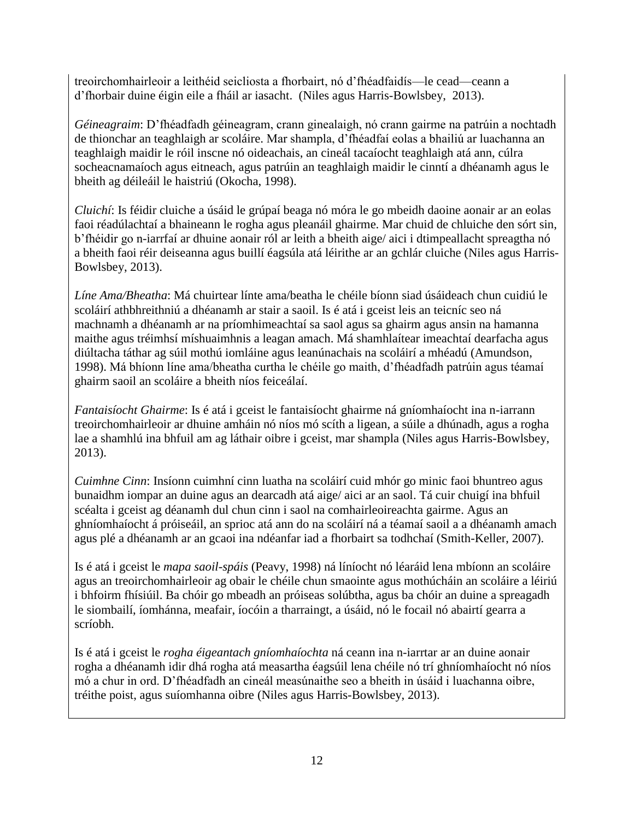treoirchomhairleoir a leithéid seicliosta a fhorbairt, nó d'fhéadfaidís—le cead—ceann a d'fhorbair duine éigin eile a fháil ar iasacht. (Niles agus Harris-Bowlsbey, 2013).

*Géineagraim*: D'fhéadfadh géineagram, crann ginealaigh, nó crann gairme na patrúin a nochtadh de thionchar an teaghlaigh ar scoláire. Mar shampla, d'fhéadfaí eolas a bhailiú ar luachanna an teaghlaigh maidir le róil inscne nó oideachais, an cineál tacaíocht teaghlaigh atá ann, cúlra socheacnamaíoch agus eitneach, agus patrúin an teaghlaigh maidir le cinntí a dhéanamh agus le bheith ag déileáil le haistriú (Okocha, 1998).

*Cluichí*: Is féidir cluiche a úsáid le grúpaí beaga nó móra le go mbeidh daoine aonair ar an eolas faoi réadúlachtaí a bhaineann le rogha agus pleanáil ghairme. Mar chuid de chluiche den sórt sin, b'fhéidir go n-iarrfaí ar dhuine aonair ról ar leith a bheith aige/ aici i dtimpeallacht spreagtha nó a bheith faoi réir deiseanna agus buillí éagsúla atá léirithe ar an gchlár cluiche (Niles agus Harris-Bowlsbey, 2013).

*Líne Ama/Bheatha*: Má chuirtear línte ama/beatha le chéile bíonn siad úsáideach chun cuidiú le scoláirí athbhreithniú a dhéanamh ar stair a saoil. Is é atá i gceist leis an teicníc seo ná machnamh a dhéanamh ar na príomhimeachtaí sa saol agus sa ghairm agus ansin na hamanna maithe agus tréimhsí míshuaimhnis a leagan amach. Má shamhlaítear imeachtaí dearfacha agus diúltacha táthar ag súil mothú iomláine agus leanúnachais na scoláirí a mhéadú (Amundson, 1998). Má bhíonn líne ama/bheatha curtha le chéile go maith, d'fhéadfadh patrúin agus téamaí ghairm saoil an scoláire a bheith níos feiceálaí.

*Fantaisíocht Ghairme*: Is é atá i gceist le fantaisíocht ghairme ná gníomhaíocht ina n-iarrann treoirchomhairleoir ar dhuine amháin nó níos mó scíth a ligean, a súile a dhúnadh, agus a rogha lae a shamhlú ina bhfuil am ag láthair oibre i gceist, mar shampla (Niles agus Harris-Bowlsbey, 2013).

*Cuimhne Cinn*: Insíonn cuimhní cinn luatha na scoláirí cuid mhór go minic faoi bhuntreo agus bunaidhm iompar an duine agus an dearcadh atá aige/ aici ar an saol. Tá cuir chuigí ina bhfuil scéalta i gceist ag déanamh dul chun cinn i saol na comhairleoireachta gairme. Agus an ghníomhaíocht á próiseáil, an sprioc atá ann do na scoláirí ná a téamaí saoil a a dhéanamh amach agus plé a dhéanamh ar an gcaoi ina ndéanfar iad a fhorbairt sa todhchaí (Smith-Keller, 2007).

Is é atá i gceist le *mapa saoil-spáis* (Peavy, 1998) ná líníocht nó léaráid lena mbíonn an scoláire agus an treoirchomhairleoir ag obair le chéile chun smaointe agus mothúcháin an scoláire a léiriú i bhfoirm fhísiúil. Ba chóir go mbeadh an próiseas solúbtha, agus ba chóir an duine a spreagadh le siombailí, íomhánna, meafair, íocóin a tharraingt, a úsáid, nó le focail nó abairtí gearra a scríobh.

Is é atá i gceist le *rogha éigeantach gníomhaíochta* ná ceann ina n-iarrtar ar an duine aonair rogha a dhéanamh idir dhá rogha atá measartha éagsúil lena chéile nó trí ghníomhaíocht nó níos mó a chur in ord. D'fhéadfadh an cineál measúnaithe seo a bheith in úsáid i luachanna oibre, tréithe poist, agus suíomhanna oibre (Niles agus Harris-Bowlsbey, 2013).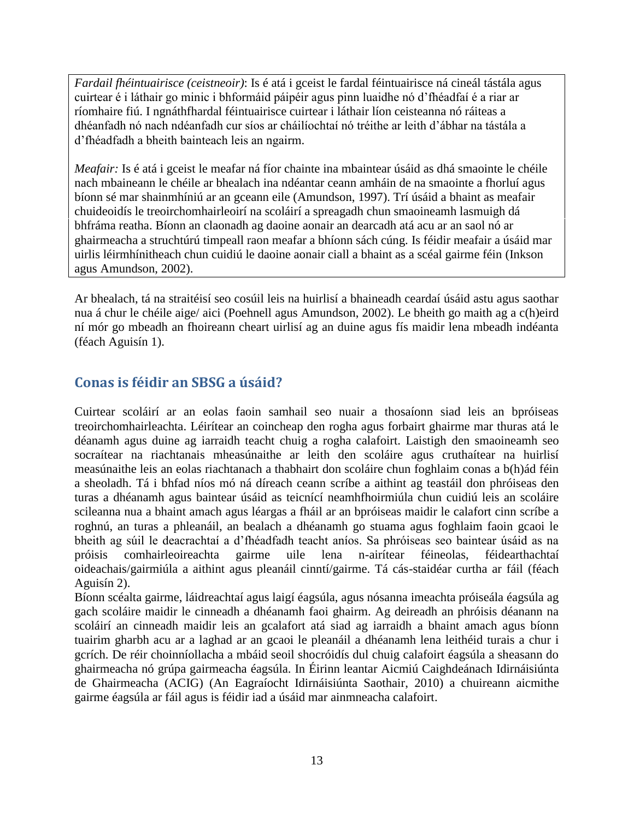*Fardail fhéintuairisce (ceistneoir)*: Is é atá i gceist le fardal féintuairisce ná cineál tástála agus cuirtear é i láthair go minic i bhformáid páipéir agus pinn luaidhe nó d'fhéadfaí é a riar ar ríomhaire fiú. I ngnáthfhardal féintuairisce cuirtear i láthair líon ceisteanna nó ráiteas a dhéanfadh nó nach ndéanfadh cur síos ar cháilíochtaí nó tréithe ar leith d'ábhar na tástála a d'fhéadfadh a bheith bainteach leis an ngairm.

*Meafair:* Is é atá i gceist le meafar ná fíor chainte ina mbaintear úsáid as dhá smaointe le chéile nach mbaineann le chéile ar bhealach ina ndéantar ceann amháin de na smaointe a fhorluí agus bíonn sé mar shainmhíniú ar an gceann eile (Amundson, 1997). Trí úsáid a bhaint as meafair chuideoidís le treoirchomhairleoirí na scoláirí a spreagadh chun smaoineamh lasmuigh dá bhfráma reatha. Bíonn an claonadh ag daoine aonair an dearcadh atá acu ar an saol nó ar ghairmeacha a struchtúrú timpeall raon meafar a bhíonn sách cúng. Is féidir meafair a úsáid mar uirlis léirmhínitheach chun cuidiú le daoine aonair ciall a bhaint as a scéal gairme féin (Inkson agus Amundson, 2002).

Ar bhealach, tá na straitéisí seo cosúil leis na huirlisí a bhaineadh ceardaí úsáid astu agus saothar nua á chur le chéile aige/ aici (Poehnell agus Amundson, 2002). Le bheith go maith ag a c(h)eird ní mór go mbeadh an fhoireann cheart uirlisí ag an duine agus fís maidir lena mbeadh indéanta (féach Aguisín 1).

## **Conas is féidir an SBSG a úsáid?**

Cuirtear scoláirí ar an eolas faoin samhail seo nuair a thosaíonn siad leis an bpróiseas treoirchomhairleachta. Léirítear an coincheap den rogha agus forbairt ghairme mar thuras atá le déanamh agus duine ag iarraidh teacht chuig a rogha calafoirt. Laistigh den smaoineamh seo socraítear na riachtanais mheasúnaithe ar leith den scoláire agus cruthaítear na huirlisí measúnaithe leis an eolas riachtanach a thabhairt don scoláire chun foghlaim conas a b(h)ád féin a sheoladh. Tá i bhfad níos mó ná díreach ceann scríbe a aithint ag teastáil don phróiseas den turas a dhéanamh agus baintear úsáid as teicnící neamhfhoirmiúla chun cuidiú leis an scoláire scileanna nua a bhaint amach agus léargas a fháil ar an bpróiseas maidir le calafort cinn scríbe a roghnú, an turas a phleanáil, an bealach a dhéanamh go stuama agus foghlaim faoin gcaoi le bheith ag súil le deacrachtaí a d'fhéadfadh teacht aníos. Sa phróiseas seo baintear úsáid as na próisis comhairleoireachta gairme uile lena n-airítear féineolas, féidearthachtaí oideachais/gairmiúla a aithint agus pleanáil cinntí/gairme. Tá cás-staidéar curtha ar fáil (féach Aguisín 2).

Bíonn scéalta gairme, láidreachtaí agus laigí éagsúla, agus nósanna imeachta próiseála éagsúla ag gach scoláire maidir le cinneadh a dhéanamh faoi ghairm. Ag deireadh an phróisis déanann na scoláirí an cinneadh maidir leis an gcalafort atá siad ag iarraidh a bhaint amach agus bíonn tuairim gharbh acu ar a laghad ar an gcaoi le pleanáil a dhéanamh lena leithéid turais a chur i gcrích. De réir choinníollacha a mbáid seoil shocróidís dul chuig calafoirt éagsúla a sheasann do ghairmeacha nó grúpa gairmeacha éagsúla. In Éirinn leantar Aicmiú Caighdeánach Idirnáisiúnta de Ghairmeacha (ACIG) (An Eagraíocht Idirnáisiúnta Saothair, 2010) a chuireann aicmithe gairme éagsúla ar fáil agus is féidir iad a úsáid mar ainmneacha calafoirt.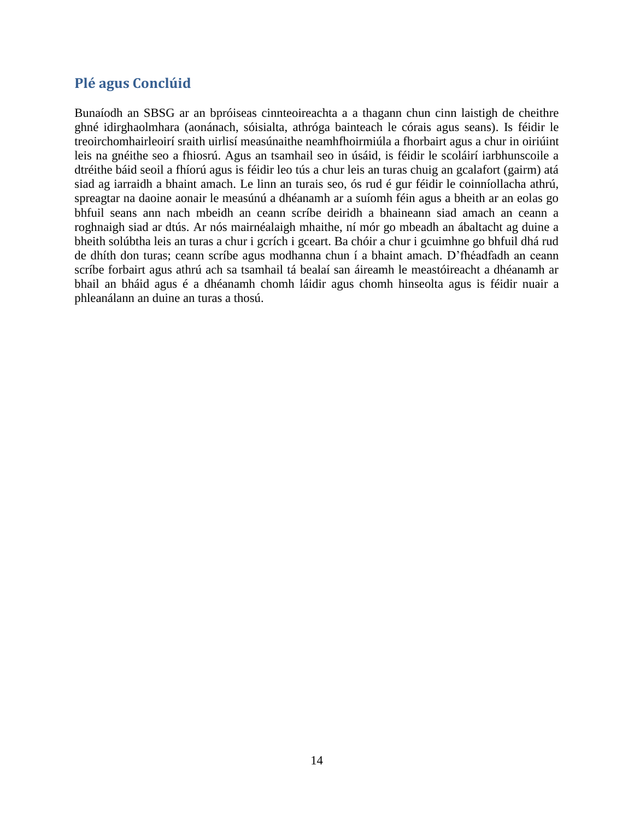## **Plé agus Conclúid**

Bunaíodh an SBSG ar an bpróiseas cinnteoireachta a a thagann chun cinn laistigh de cheithre ghné idirghaolmhara (aonánach, sóisialta, athróga bainteach le córais agus seans). Is féidir le treoirchomhairleoirí sraith uirlisí measúnaithe neamhfhoirmiúla a fhorbairt agus a chur in oiriúint leis na gnéithe seo a fhiosrú. Agus an tsamhail seo in úsáid, is féidir le scoláirí iarbhunscoile a dtréithe báid seoil a fhíorú agus is féidir leo tús a chur leis an turas chuig an gcalafort (gairm) atá siad ag iarraidh a bhaint amach. Le linn an turais seo, ós rud é gur féidir le coinníollacha athrú, spreagtar na daoine aonair le measúnú a dhéanamh ar a suíomh féin agus a bheith ar an eolas go bhfuil seans ann nach mbeidh an ceann scríbe deiridh a bhaineann siad amach an ceann a roghnaigh siad ar dtús. Ar nós mairnéalaigh mhaithe, ní mór go mbeadh an ábaltacht ag duine a bheith solúbtha leis an turas a chur i gcrích i gceart. Ba chóir a chur i gcuimhne go bhfuil dhá rud de dhíth don turas; ceann scríbe agus modhanna chun í a bhaint amach. D'fhéadfadh an ceann scríbe forbairt agus athrú ach sa tsamhail tá bealaí san áireamh le meastóireacht a dhéanamh ar bhail an bháid agus é a dhéanamh chomh láidir agus chomh hinseolta agus is féidir nuair a phleanálann an duine an turas a thosú.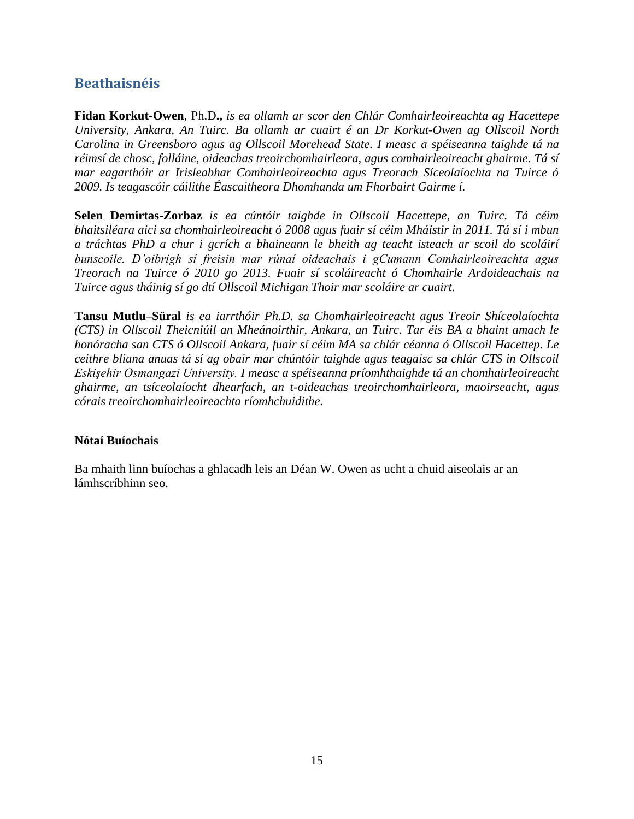## **Beathaisnéis**

**Fidan Korkut-Owen**, Ph.D**.,** *is ea ollamh ar scor den Chlár Comhairleoireachta ag Hacettepe University, Ankara, An Tuirc. Ba ollamh ar cuairt é an Dr Korkut-Owen ag Ollscoil North Carolina in Greensboro agus ag Ollscoil Morehead State. I measc a spéiseanna taighde tá na réimsí de chosc, folláine, oideachas treoirchomhairleora, agus comhairleoireacht ghairme. Tá sí mar eagarthóir ar Irisleabhar Comhairleoireachta agus Treorach Síceolaíochta na Tuirce ó 2009. Is teagascóir cáilithe Éascaitheora Dhomhanda um Fhorbairt Gairme í.* 

**Selen Demirtas-Zorbaz** *is ea cúntóir taighde in Ollscoil Hacettepe, an Tuirc. Tá céim bhaitsiléara aici sa chomhairleoireacht ó 2008 agus fuair sí céim Mháistir in 2011. Tá sí i mbun a tráchtas PhD a chur i gcrích a bhaineann le bheith ag teacht isteach ar scoil do scoláirí bunscoile. D'oibrigh sí freisin mar rúnaí oideachais i gCumann Comhairleoireachta agus Treorach na Tuirce ó 2010 go 2013. Fuair sí scoláireacht ó Chomhairle Ardoideachais na Tuirce agus tháinig sí go dtí Ollscoil Michigan Thoir mar scoláire ar cuairt.* 

**Tansu Mutlu–Süral** *is ea iarrthóir Ph.D. sa Chomhairleoireacht agus Treoir Shíceolaíochta (CTS) in Ollscoil Theicniúil an Mheánoirthir, Ankara, an Tuirc. Tar éis BA a bhaint amach le honóracha san CTS ó Ollscoil Ankara, fuair sí céim MA sa chlár céanna ó Ollscoil Hacettep. Le ceithre bliana anuas tá sí ag obair mar chúntóir taighde agus teagaisc sa chlár CTS in Ollscoil Eskişehir Osmangazi University. I measc a spéiseanna príomhthaighde tá an chomhairleoireacht ghairme, an tsíceolaíocht dhearfach, an t-oideachas treoirchomhairleora, maoirseacht, agus córais treoirchomhairleoireachta ríomhchuidithe.* 

#### **Nótaí Buíochais**

Ba mhaith linn buíochas a ghlacadh leis an Déan W. Owen as ucht a chuid aiseolais ar an lámhscríbhinn seo.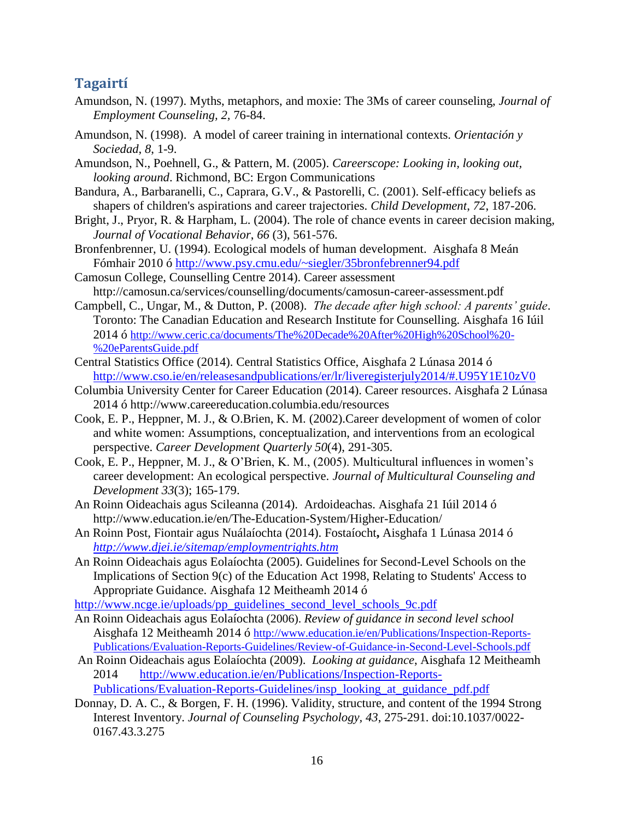## **Tagairtí**

- Amundson, N. (1997). Myths, metaphors, and moxie: The 3Ms of career counseling, *Journal of Employment Counseling, 2,* 76-84.
- Amundson, N. (1998). A model of career training in international contexts. *Orientación y Sociedad*, *8*, 1-9.

Amundson, N., Poehnell, G., & Pattern, M. (2005). *Careerscope: Looking in, looking out, looking around*. Richmond, BC: Ergon Communications

- Bandura, A., Barbaranelli, C., Caprara, G.V., & Pastorelli, C. (2001). Self-efficacy beliefs as shapers of children's aspirations and career trajectories. *Child Development*, *72*, 187-206.
- Bright, J., Pryor, R. & Harpham, L. (2004). The role of chance events in career decision making, *Journal of Vocational Behavior*, *66* (3), 561-576.
- Bronfenbrenner, U. (1994). Ecological models of human development. Aisghafa 8 Meán Fómhair 2010 ó <http://www.psy.cmu.edu/~siegler/35bronfebrenner94.pdf>
- Camosun College, Counselling Centre 2014). Career assessment http://camosun.ca/services/counselling/documents/camosun-career-assessment.pdf
- Campbell, C., Ungar, M., & Dutton, P. (2008). *The decade after high school: A parents' guide*. Toronto: The Canadian Education and Research Institute for Counselling. Aisghafa 16 Iúil 2014 ó [http://www.ceric.ca/documents/The%20Decade%20After%20High%20School%20-](http://www.ceric.ca/documents/The%20Decade%20After%20High%20School%20-%20eParentsGuide.pdf) [%20eParentsGuide.pdf](http://www.ceric.ca/documents/The%20Decade%20After%20High%20School%20-%20eParentsGuide.pdf)
- Central Statistics Office (2014). Central Statistics Office, Aisghafa 2 Lúnasa 2014 ó <http://www.cso.ie/en/releasesandpublications/er/lr/liveregisterjuly2014/#.U95Y1E10zV0>
- Columbia University Center for Career Education (2014). Career resources. Aisghafa 2 Lúnasa 2014 ó http://www.careereducation.columbia.edu/resources
- Cook, E. P., Heppner, M. J., & O.Brien, K. M. (2002).Career development of women of color and white women: Assumptions, conceptualization, and interventions from an ecological perspective. *Career Development Quarterly 50*(4), 291-305.
- Cook, E. P., Heppner, M. J., & O'Brien, K. M., (2005). Multicultural influences in women's career development: An ecological perspective. *Journal of Multicultural Counseling and Development 33*(3); 165-179.
- An Roinn Oideachais agus Scileanna (2014). Ardoideachas. Aisghafa 21 Iúil 2014 ó <http://www.education.ie/en/The-Education-System/Higher-Education/>
- An Roinn Post, Fiontair agus Nuálaíochta (2014). Fostaíocht**,** Aisghafa 1 Lúnasa 2014 ó *<http://www.djei.ie/sitemap/employmentrights.htm>*
- An Roinn Oideachais agus Eolaíochta (2005). Guidelines for Second-Level Schools on the Implications of Section 9(c) of the Education Act 1998, Relating to Students' Access to Appropriate Guidance. Aisghafa 12 Meitheamh 2014 ó

[http://www.ncge.ie/uploads/pp\\_guidelines\\_second\\_level\\_schools\\_9c.pdf](http://www.ncge.ie/uploads/pp_guidelines_second_level_schools_9c.pdf)

- An Roinn Oideachais agus Eolaíochta (2006). *Review of guidance in second level school* Aisghafa 12 Meitheamh 2014 ó [http://www.education.ie/en/Publications/Inspection-Reports-](http://www.education.ie/en/Publications/Inspection-Reports-Publications/Evaluation-Reports-Guidelines/Review-of-Guidance-in-Second-Level-Schools.pdf)[Publications/Evaluation-Reports-Guidelines/Review-of-Guidance-in-Second-Level-Schools.pdf](http://www.education.ie/en/Publications/Inspection-Reports-Publications/Evaluation-Reports-Guidelines/Review-of-Guidance-in-Second-Level-Schools.pdf)
- An Roinn Oideachais agus Eolaíochta (2009). *Looking at guidance*, Aisghafa 12 Meitheamh 2014 [http://www.education.ie/en/Publications/Inspection-Reports-](http://www.education.ie/en/Publications/Inspection-Reports-Publications/Evaluation-Reports-Guidelines/insp_looking_at_guidance_pdf.pdf)[Publications/Evaluation-Reports-Guidelines/insp\\_looking\\_at\\_guidance\\_pdf.pdf](http://www.education.ie/en/Publications/Inspection-Reports-Publications/Evaluation-Reports-Guidelines/insp_looking_at_guidance_pdf.pdf)
- Donnay, D. A. C., & Borgen, F. H. (1996). Validity, structure, and content of the 1994 Strong Interest Inventory. *Journal of Counseling Psychology, 43*, 275-291. doi:10.1037/0022- 0167.43.3.275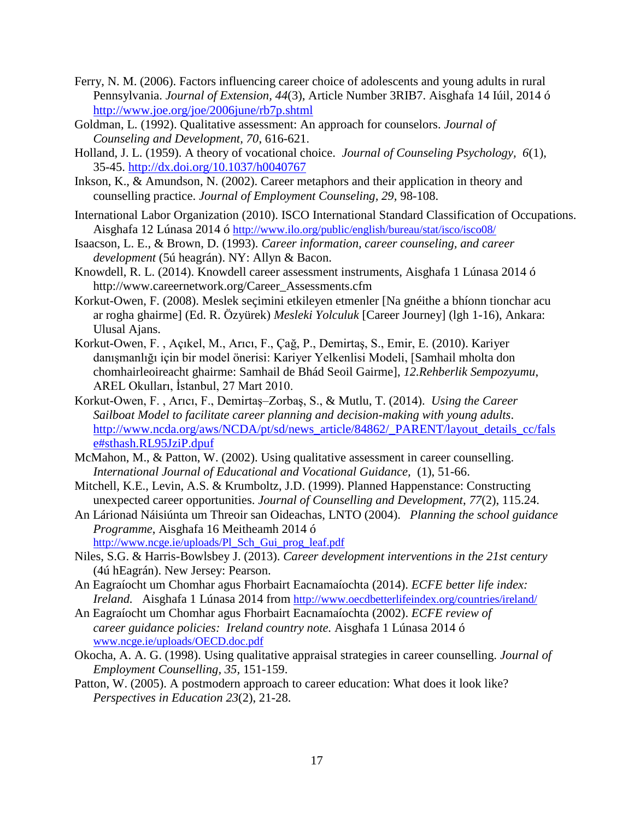- Ferry, N. M. (2006). Factors influencing career choice of adolescents and young adults in rural Pennsylvania. *Journal of Extension, 44*(3), Article Number 3RIB7. Aisghafa 14 Iúil, 2014 ó <http://www.joe.org/joe/2006june/rb7p.shtml>
- Goldman, L. (1992). Qualitative assessment: An approach for counselors. *Journal of Counseling and Development, 70*, 616-621.
- Holland, J. L. (1959). A theory of vocational choice. *Journal of Counseling Psychology, 6*(1), 35-45. [http://dx.doi.org/10.1037/h0040767](http://psycnet.apa.org/doi/10.1037/h0040767)
- Inkson, K., & Amundson, N. (2002). Career metaphors and their application in theory and counselling practice. *Journal of Employment Counseling, 29,* 98-108.
- International Labor Organization (2010). ISCO International Standard Classification of Occupations. Aisghafa 12 Lúnasa 2014 ó <http://www.ilo.org/public/english/bureau/stat/isco/isco08/>
- Isaacson, L. E., & Brown, D. (1993). *Career information, career counseling, and career development* (5ú heagrán). NY: Allyn & Bacon.
- Knowdell, R. L. (2014). Knowdell career assessment instruments, Aisghafa 1 Lúnasa 2014 ó [http://www.careernetwork.org/Career\\_Assessments.cfm](http://www.careernetwork.org/Career_Assessments.cfm)
- Korkut-Owen, F. (2008). Meslek seçimini etkileyen etmenler [Na gnéithe a bhíonn tionchar acu ar rogha ghairme] (Ed. R. Özyürek) *Mesleki Yolculuk* [Career Journey] (lgh 1-16), Ankara: Ulusal Ajans.
- Korkut-Owen, F. , Açıkel, M., Arıcı, F., Çağ, P., Demirtaş, S., Emir, E. (2010). Kariyer danışmanlığı için bir model önerisi: Kariyer Yelkenlisi Modeli, [Samhail mholta don chomhairleoireacht ghairme: Samhail de Bhád Seoil Gairme], *12.Rehberlik Sempozyumu*, AREL Okulları, İstanbul, 27 Mart 2010.
- Korkut-Owen, F. , Arıcı, F., Demirtaş–Zorbaş, S., & Mutlu, T. (2014). *Using the Career Sailboat Model to facilitate career planning and decision-making with young adults*. [http://www.ncda.org/aws/NCDA/pt/sd/news\\_article/84862/\\_PARENT/layout\\_details\\_cc/fals](http://www.ncda.org/aws/NCDA/pt/sd/news_article/84862/_PARENT/layout_details_cc/false#sthash.RL95JziP.dpuf) [e#sthash.RL95JziP.dpuf](http://www.ncda.org/aws/NCDA/pt/sd/news_article/84862/_PARENT/layout_details_cc/false#sthash.RL95JziP.dpuf)
- McMahon, M., & Patton, W. (2002). Using qualitative assessment in career counselling. *International Journal of Educational and Vocational Guidance,* (1), 51-66.
- Mitchell, K.E., Levin, A.S. & Krumboltz, J.D. (1999). Planned Happenstance: Constructing unexpected career opportunities. *Journal of Counselling and Development*, *77*(2), 115.24.
- An Lárionad Náisiúnta um Threoir san Oideachas, LNTO (2004). *Planning the school guidance Programme*, Aisghafa 16 Meitheamh 2014 ó [http://www.ncge.ie/uploads/Pl\\_Sch\\_Gui\\_prog\\_leaf.pdf](http://www.ncge.ie/uploads/Pl_Sch_Gui_prog_leaf.pdf)
- Niles, S.G. & Harris-Bowlsbey J. (2013). *Career development interventions in the 21st century* (4ú hEagrán). New Jersey: Pearson.
- An Eagraíocht um Chomhar agus Fhorbairt Eacnamaíochta (2014). *ECFE better life index: Ireland.* Aisghafa 1 Lúnasa 2014 from <http://www.oecdbetterlifeindex.org/countries/ireland/>
- An Eagraíocht um Chomhar agus Fhorbairt Eacnamaíochta (2002). *ECFE review of career guidance policies: Ireland country note.* Aisghafa 1 Lúnasa 2014 ó [www.ncge.ie/uploads/OECD.doc.pdf](http://www.ncge.ie/uploads/OECD.doc.pdf)
- Okocha, A. A. G. (1998). Using qualitative appraisal strategies in career counselling. *Journal of Employment Counselling, 35,* 151-159.
- Patton, W. (2005). A postmodern approach to career education: What does it look like? *Perspectives in Education 23*(2), 21-28.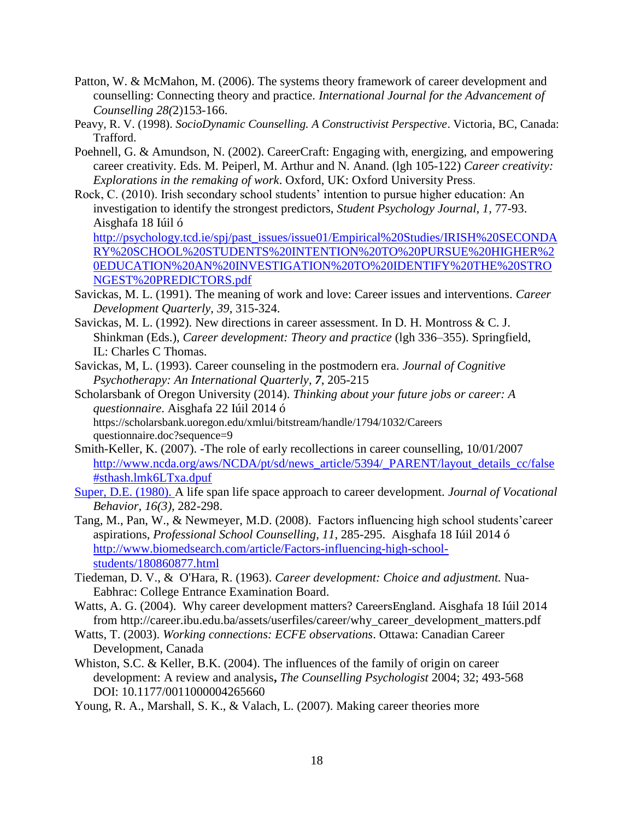- Patton, W. & McMahon, M. (2006). The systems theory framework of career development and counselling: Connecting theory and practice. *International Journal for the Advancement of Counselling 28(*2)153-166.
- Peavy, R. V. (1998). *SocioDynamic Counselling. A Constructivist Perspective*. Victoria, BC, Canada: Trafford.
- Poehnell, G. & Amundson, N. (2002). CareerCraft: Engaging with, energizing, and empowering career creativity. Eds. M. Peiperl, M. Arthur and N. Anand. (lgh 105-122) *Career creativity: Explorations in the remaking of work*. Oxford, UK: Oxford University Press.
- Rock, C. (2010). Irish secondary school students' intention to pursue higher education: An investigation to identify the strongest predictors, *Student Psychology Journal, 1,* 77-93. Aisghafa 18 Iúil ó

[http://psychology.tcd.ie/spj/past\\_issues/issue01/Empirical%20Studies/IRISH%20SECONDA](http://psychology.tcd.ie/spj/past_issues/issue01/Empirical%20Studies/IRISH%20SECONDARY%20SCHOOL%20STUDENTS%20INTENTION%20TO%20PURSUE%20HIGHER%20EDUCATION%20AN%20INVESTIGATION%20TO%20IDENTIFY%20THE%20STRONGEST%20PREDICTORS.pdf) [RY%20SCHOOL%20STUDENTS%20INTENTION%20TO%20PURSUE%20HIGHER%2](http://psychology.tcd.ie/spj/past_issues/issue01/Empirical%20Studies/IRISH%20SECONDARY%20SCHOOL%20STUDENTS%20INTENTION%20TO%20PURSUE%20HIGHER%20EDUCATION%20AN%20INVESTIGATION%20TO%20IDENTIFY%20THE%20STRONGEST%20PREDICTORS.pdf) [0EDUCATION%20AN%20INVESTIGATION%20TO%20IDENTIFY%20THE%20STRO](http://psychology.tcd.ie/spj/past_issues/issue01/Empirical%20Studies/IRISH%20SECONDARY%20SCHOOL%20STUDENTS%20INTENTION%20TO%20PURSUE%20HIGHER%20EDUCATION%20AN%20INVESTIGATION%20TO%20IDENTIFY%20THE%20STRONGEST%20PREDICTORS.pdf) [NGEST%20PREDICTORS.pdf](http://psychology.tcd.ie/spj/past_issues/issue01/Empirical%20Studies/IRISH%20SECONDARY%20SCHOOL%20STUDENTS%20INTENTION%20TO%20PURSUE%20HIGHER%20EDUCATION%20AN%20INVESTIGATION%20TO%20IDENTIFY%20THE%20STRONGEST%20PREDICTORS.pdf)

- Savickas, M. L. (1991). The meaning of work and love: Career issues and interventions. *Career Development Quarterly, 39*, 315-324.
- Savickas, M. L. (1992). New directions in career assessment. In D. H. Montross & C. J. Shinkman (Eds.), *Career development: Theory and practice* (lgh 336–355). Springfield, IL: Charles C Thomas.
- Savickas, M, L. (1993). Career counseling in the postmodern era. *Journal of Cognitive Psychotherapy: An International Quarterly*, *7*, 205-215
- Scholarsbank of Oregon University (2014). *Thinking about your future jobs or career: A questionnaire*. Aisghafa 22 Iúil 2014 ó https://scholarsbank.uoregon.edu/xmlui/bitstream/handle/1794/1032/Careers questionnaire.doc?sequence=9
- Smith-Keller, K. (2007). -The role of early recollections in career counselling, 10/01/2007 [http://www.ncda.org/aws/NCDA/pt/sd/news\\_article/5394/\\_PARENT/layout\\_details\\_cc/false](http://www.ncda.org/aws/NCDA/pt/sd/news_article/5394/_PARENT/layout_details_cc/false#sthash.lmk6LTxa.dpuf) [#sthash.lmk6LTxa.dpuf](http://www.ncda.org/aws/NCDA/pt/sd/news_article/5394/_PARENT/layout_details_cc/false#sthash.lmk6LTxa.dpuf)
- Super, D.E. (1980). A life span life space approach to career development. *Journal of Vocational Behavior, 16(3),* 282-298.
- Tang, M., Pan, W., & Newmeyer, M.D. (2008). Factors influencing high school students'career aspirations, *Professional School Counselling, 11*, 285-295. Aisghafa 18 Iúil 2014 ó [http://www.biomedsearch.com/article/Factors-influencing-high-school](http://www.biomedsearch.com/article/Factors-influencing-high-school-students/180860877.html)[students/180860877.html](http://www.biomedsearch.com/article/Factors-influencing-high-school-students/180860877.html)
- Tiedeman, D. V., & O'Hara, R. (1963). *Career development: Choice and adjustment.* Nua-Eabhrac: College Entrance Examination Board.
- Watts, A. G. (2004). Why career development matters? CareersEngland. Aisghafa 18 Iúil 2014 from http://career.ibu.edu.ba/assets/userfiles/career/why\_career\_development\_matters.pdf
- Watts, T. (2003). *Working connections: ECFE observations*. Ottawa: Canadian Career Development, Canada
- Whiston, S.C. & Keller, B.K. (2004). The influences of the family of origin on career development: A review and analysis**,** *The Counselling Psychologist* 2004; 32; 493-568 DOI: 10.1177/0011000004265660
- Young, R. A., Marshall, S. K., & Valach, L. (2007). Making career theories more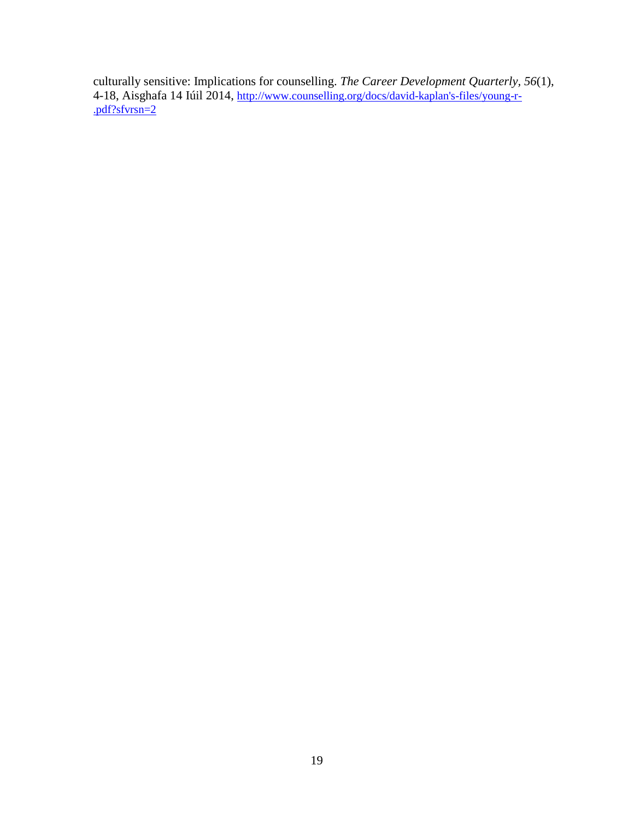culturally sensitive: Implications for counselling. *The Career Development Quarterly, 56*(1), 4-18, Aisghafa 14 Iúil 2014, [http://www.counselling.org/docs/david-kaplan's-files/young-r-](http://www.counselling.org/docs/david-kaplan) [.pdf?sfvrsn=2](http://www.counselling.org/docs/david-kaplan)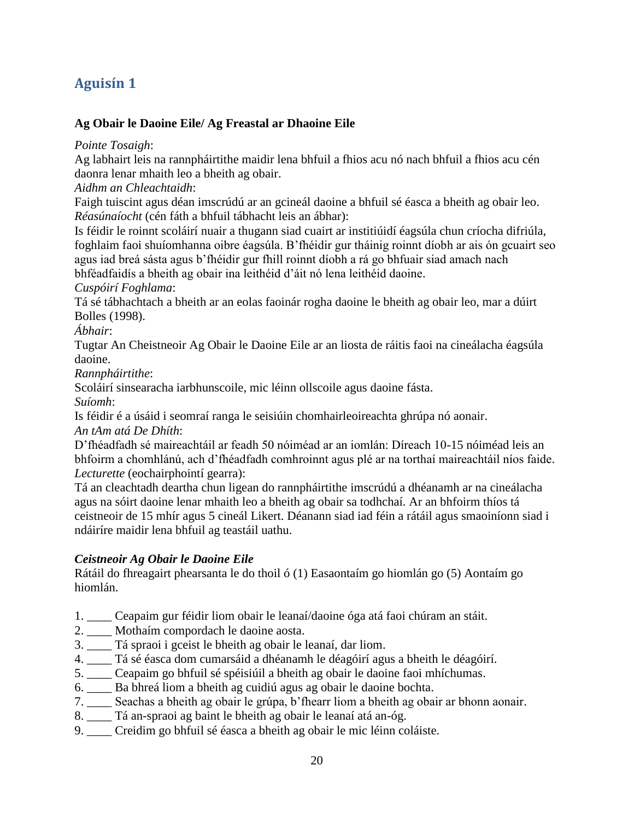## **Aguisín 1**

#### **Ag Obair le Daoine Eile/ [Ag Freastal ar Dhaoine Eile](http://lifeworkps.com/sallyg/weblog/2330.html)**

*Pointe Tosaigh*:

Ag labhairt leis na rannpháirtithe maidir lena bhfuil a fhios acu nó nach bhfuil a fhios acu cén daonra lenar mhaith leo a bheith ag obair.

*Aidhm an Chleachtaidh*:

Faigh tuiscint agus déan imscrúdú ar an gcineál daoine a bhfuil sé éasca a bheith ag obair leo. *Réasúnaíocht* (cén fáth a bhfuil tábhacht leis an ábhar):

Is féidir le roinnt scoláirí nuair a thugann siad cuairt ar institiúidí éagsúla chun críocha difriúla, foghlaim faoi shuíomhanna oibre éagsúla. B'fhéidir gur tháinig roinnt díobh ar ais ón gcuairt seo agus iad breá sásta agus b'fhéidir gur fhill roinnt díobh a rá go bhfuair siad amach nach bhféadfaidís a bheith ag obair ina leithéid d'áit nó lena leithéid daoine.

#### *Cuspóirí Foghlama*:

Tá sé tábhachtach a bheith ar an eolas faoinár rogha daoine le bheith ag obair leo, mar a dúirt Bolles (1998).

*Ábhair*:

Tugtar An Cheistneoir Ag Obair le Daoine Eile ar an liosta de ráitis faoi na cineálacha éagsúla daoine.

*Rannpháirtithe*:

Scoláirí sinsearacha iarbhunscoile, mic léinn ollscoile agus daoine fásta.

*Suíomh*:

Is féidir é a úsáid i seomraí ranga le seisiúin chomhairleoireachta ghrúpa nó aonair. *An tAm atá De Dhíth*:

D'fhéadfadh sé maireachtáil ar feadh 50 nóiméad ar an iomlán: Díreach 10-15 nóiméad leis an bhfoirm a chomhlánú, ach d'fhéadfadh comhroinnt agus plé ar na torthaí maireachtáil níos faide. *Lecturette* (eochairphointí gearra):

Tá an cleachtadh deartha chun ligean do rannpháirtithe imscrúdú a dhéanamh ar na cineálacha agus na sóirt daoine lenar mhaith leo a bheith ag obair sa todhchaí. Ar an bhfoirm thíos tá ceistneoir de 15 mhír agus 5 cineál Likert. Déanann siad iad féin a rátáil agus smaoiníonn siad i ndáiríre maidir lena bhfuil ag teastáil uathu.

#### *Ceistneoir Ag Obair le Daoine Eile*

Rátáil do fhreagairt phearsanta le do thoil ó (1) Easaontaím go hiomlán go (5) Aontaím go hiomlán.

- 1. \_\_\_\_ Ceapaim gur féidir liom obair le leanaí/daoine óga atá faoi chúram an stáit.
- 2. \_\_\_\_ Mothaím compordach le daoine aosta.
- 3. \_\_\_\_ Tá spraoi i gceist le bheith ag obair le leanaí, dar liom.
- 4. \_\_\_\_ Tá sé éasca dom cumarsáid a dhéanamh le déagóirí agus a bheith le déagóirí.
- 5. \_\_\_\_ Ceapaim go bhfuil sé spéisiúil a bheith ag obair le daoine faoi mhíchumas.
- 6. \_\_\_\_ Ba bhreá liom a bheith ag cuidiú agus ag obair le daoine bochta.
- 7. \_\_\_\_ Seachas a bheith ag obair le grúpa, b'fhearr liom a bheith ag obair ar bhonn aonair.
- 8. \_\_\_\_ Tá an-spraoi ag baint le bheith ag obair le leanaí atá an-óg.
- 9. \_\_\_\_ Creidim go bhfuil sé éasca a bheith ag obair le mic léinn coláiste.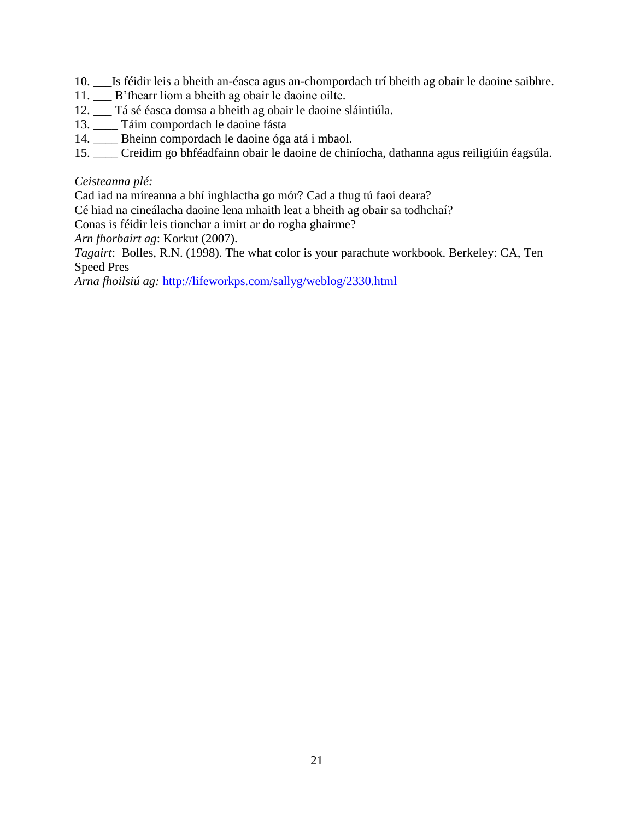- 10. \_\_\_Is féidir leis a bheith an-éasca agus an-chompordach trí bheith ag obair le daoine saibhre.
- 11. \_\_\_ B'fhearr liom a bheith ag obair le daoine oilte.
- 12. \_\_\_ Tá sé éasca domsa a bheith ag obair le daoine sláintiúla.
- 13. \_\_\_\_ Táim compordach le daoine fásta
- 14. \_\_\_\_ Bheinn compordach le daoine óga atá i mbaol.
- 15. \_\_\_\_ Creidim go bhféadfainn obair le daoine de chiníocha, dathanna agus reiligiúin éagsúla.

#### *Ceisteanna plé:*

Cad iad na míreanna a bhí inghlactha go mór? Cad a thug tú faoi deara?

Cé hiad na cineálacha daoine lena mhaith leat a bheith ag obair sa todhchaí?

Conas is féidir leis tionchar a imirt ar do rogha ghairme?

*Arn fhorbairt ag*: Korkut (2007).

*Tagairt*: Bolles, R.N. (1998). The what color is your parachute workbook. Berkeley: CA, Ten Speed Pres

*Arna fhoilsiú ag:* <http://lifeworkps.com/sallyg/weblog/2330.html>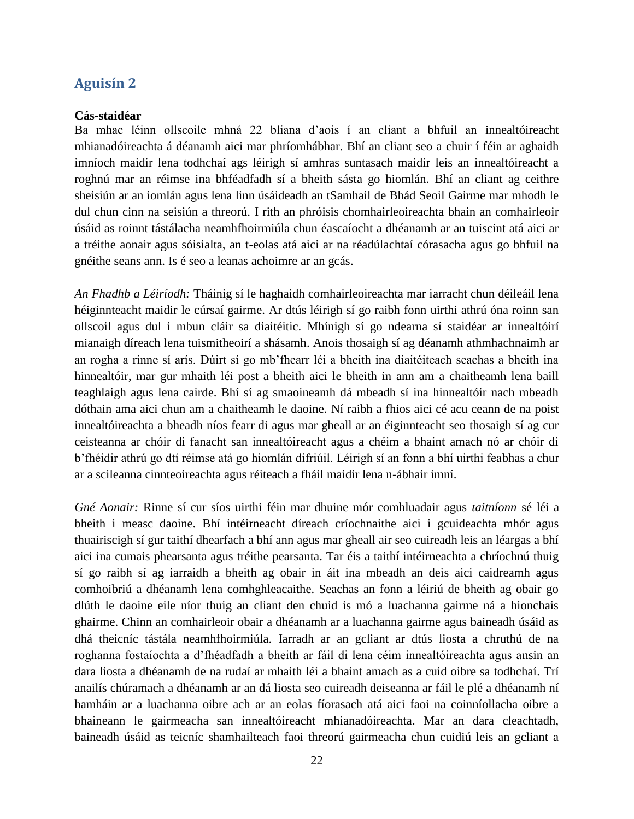#### **Aguisín 2**

#### **Cás-staidéar**

Ba mhac léinn ollscoile mhná 22 bliana d'aois í an cliant a bhfuil an innealtóireacht mhianadóireachta á déanamh aici mar phríomhábhar. Bhí an cliant seo a chuir í féin ar aghaidh imníoch maidir lena todhchaí ags léirigh sí amhras suntasach maidir leis an innealtóireacht a roghnú mar an réimse ina bhféadfadh sí a bheith sásta go hiomlán. Bhí an cliant ag ceithre sheisiún ar an iomlán agus lena linn úsáideadh an tSamhail de Bhád Seoil Gairme mar mhodh le dul chun cinn na seisiún a threorú. I rith an phróisis chomhairleoireachta bhain an comhairleoir úsáid as roinnt tástálacha neamhfhoirmiúla chun éascaíocht a dhéanamh ar an tuiscint atá aici ar a tréithe aonair agus sóisialta, an t-eolas atá aici ar na réadúlachtaí córasacha agus go bhfuil na gnéithe seans ann. Is é seo a leanas achoimre ar an gcás.

*An Fhadhb a Léiríodh:* Tháinig sí le haghaidh comhairleoireachta mar iarracht chun déileáil lena héiginnteacht maidir le cúrsaí gairme. Ar dtús léirigh sí go raibh fonn uirthi athrú óna roinn san ollscoil agus dul i mbun cláir sa diaitéitic. Mhínigh sí go ndearna sí staidéar ar innealtóirí mianaigh díreach lena tuismitheoirí a shásamh. Anois thosaigh sí ag déanamh athmhachnaimh ar an rogha a rinne sí arís. Dúirt sí go mb'fhearr léi a bheith ina diaitéiteach seachas a bheith ina hinnealtóir, mar gur mhaith léi post a bheith aici le bheith in ann am a chaitheamh lena baill teaghlaigh agus lena cairde. Bhí sí ag smaoineamh dá mbeadh sí ina hinnealtóir nach mbeadh dóthain ama aici chun am a chaitheamh le daoine. Ní raibh a fhios aici cé acu ceann de na poist innealtóireachta a bheadh níos fearr di agus mar gheall ar an éiginnteacht seo thosaigh sí ag cur ceisteanna ar chóir di fanacht san innealtóireacht agus a chéim a bhaint amach nó ar chóir di b'fhéidir athrú go dtí réimse atá go hiomlán difriúil. Léirigh sí an fonn a bhí uirthi feabhas a chur ar a scileanna cinnteoireachta agus réiteach a fháil maidir lena n-ábhair imní.

*Gné Aonair:* Rinne sí cur síos uirthi féin mar dhuine mór comhluadair agus *taitníonn* sé léi a bheith i measc daoine. Bhí intéirneacht díreach críochnaithe aici i gcuideachta mhór agus thuairiscigh sí gur taithí dhearfach a bhí ann agus mar gheall air seo cuireadh leis an léargas a bhí aici ina cumais phearsanta agus tréithe pearsanta. Tar éis a taithí intéirneachta a chríochnú thuig sí go raibh sí ag iarraidh a bheith ag obair in áit ina mbeadh an deis aici caidreamh agus comhoibriú a dhéanamh lena comhghleacaithe. Seachas an fonn a léiriú de bheith ag obair go dlúth le daoine eile níor thuig an cliant den chuid is mó a luachanna gairme ná a hionchais ghairme. Chinn an comhairleoir obair a dhéanamh ar a luachanna gairme agus baineadh úsáid as dhá theicníc tástála neamhfhoirmiúla. Iarradh ar an gcliant ar dtús liosta a chruthú de na roghanna fostaíochta a d'fhéadfadh a bheith ar fáil di lena céim innealtóireachta agus ansin an dara liosta a dhéanamh de na rudaí ar mhaith léi a bhaint amach as a cuid oibre sa todhchaí. Trí anailís chúramach a dhéanamh ar an dá liosta seo cuireadh deiseanna ar fáil le plé a dhéanamh ní hamháin ar a luachanna oibre ach ar an eolas fíorasach atá aici faoi na coinníollacha oibre a bhaineann le gairmeacha san innealtóireacht mhianadóireachta. Mar an dara cleachtadh, baineadh úsáid as teicníc shamhailteach faoi threorú gairmeacha chun cuidiú leis an gcliant a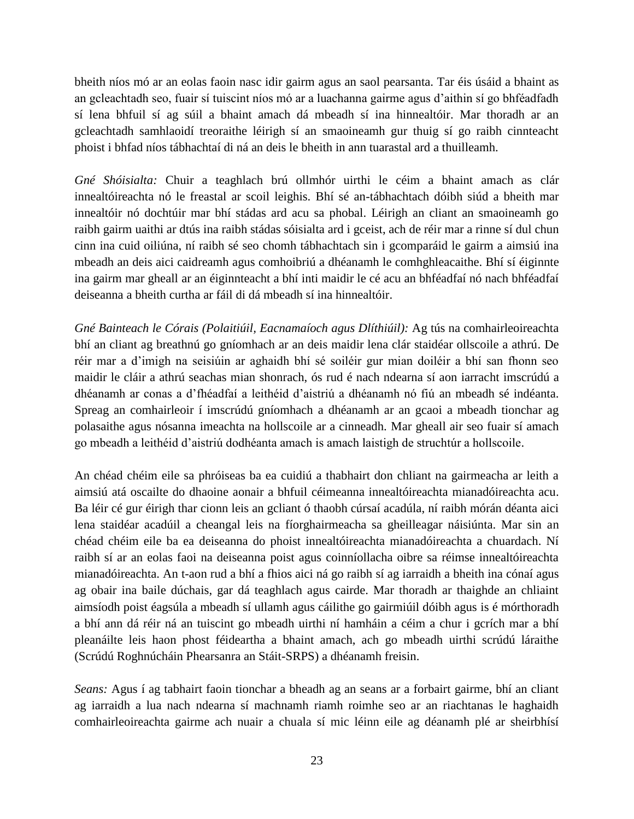bheith níos mó ar an eolas faoin nasc idir gairm agus an saol pearsanta. Tar éis úsáid a bhaint as an gcleachtadh seo, fuair sí tuiscint níos mó ar a luachanna gairme agus d'aithin sí go bhféadfadh sí lena bhfuil sí ag súil a bhaint amach dá mbeadh sí ina hinnealtóir. Mar thoradh ar an gcleachtadh samhlaoidí treoraithe léirigh sí an smaoineamh gur thuig sí go raibh cinnteacht phoist i bhfad níos tábhachtaí di ná an deis le bheith in ann tuarastal ard a thuilleamh.

*Gné Shóisialta:* Chuir a teaghlach brú ollmhór uirthi le céim a bhaint amach as clár innealtóireachta nó le freastal ar scoil leighis. Bhí sé an-tábhachtach dóibh siúd a bheith mar innealtóir nó dochtúir mar bhí stádas ard acu sa phobal. Léirigh an cliant an smaoineamh go raibh gairm uaithi ar dtús ina raibh stádas sóisialta ard i gceist, ach de réir mar a rinne sí dul chun cinn ina cuid oiliúna, ní raibh sé seo chomh tábhachtach sin i gcomparáid le gairm a aimsiú ina mbeadh an deis aici caidreamh agus comhoibriú a dhéanamh le comhghleacaithe. Bhí sí éiginnte ina gairm mar gheall ar an éiginnteacht a bhí inti maidir le cé acu an bhféadfaí nó nach bhféadfaí deiseanna a bheith curtha ar fáil di dá mbeadh sí ina hinnealtóir.

*Gné Bainteach le Córais (Polaitiúil, Eacnamaíoch agus Dlíthiúil):* Ag tús na comhairleoireachta bhí an cliant ag breathnú go gníomhach ar an deis maidir lena clár staidéar ollscoile a athrú. De réir mar a d'imigh na seisiúin ar aghaidh bhí sé soiléir gur mian doiléir a bhí san fhonn seo maidir le cláir a athrú seachas mian shonrach, ós rud é nach ndearna sí aon iarracht imscrúdú a dhéanamh ar conas a d'fhéadfaí a leithéid d'aistriú a dhéanamh nó fiú an mbeadh sé indéanta. Spreag an comhairleoir í imscrúdú gníomhach a dhéanamh ar an gcaoi a mbeadh tionchar ag polasaithe agus nósanna imeachta na hollscoile ar a cinneadh. Mar gheall air seo fuair sí amach go mbeadh a leithéid d'aistriú dodhéanta amach is amach laistigh de struchtúr a hollscoile.

An chéad chéim eile sa phróiseas ba ea cuidiú a thabhairt don chliant na gairmeacha ar leith a aimsiú atá oscailte do dhaoine aonair a bhfuil céimeanna innealtóireachta mianadóireachta acu. Ba léir cé gur éirigh thar cionn leis an gcliant ó thaobh cúrsaí acadúla, ní raibh mórán déanta aici lena staidéar acadúil a cheangal leis na fíorghairmeacha sa gheilleagar náisiúnta. Mar sin an chéad chéim eile ba ea deiseanna do phoist innealtóireachta mianadóireachta a chuardach. Ní raibh sí ar an eolas faoi na deiseanna poist agus coinníollacha oibre sa réimse innealtóireachta mianadóireachta. An t-aon rud a bhí a fhios aici ná go raibh sí ag iarraidh a bheith ina cónaí agus ag obair ina baile dúchais, gar dá teaghlach agus cairde. Mar thoradh ar thaighde an chliaint aimsíodh poist éagsúla a mbeadh sí ullamh agus cáilithe go gairmiúil dóibh agus is é mórthoradh a bhí ann dá réir ná an tuiscint go mbeadh uirthi ní hamháin a céim a chur i gcrích mar a bhí pleanáilte leis haon phost féideartha a bhaint amach, ach go mbeadh uirthi scrúdú láraithe (Scrúdú Roghnúcháin Phearsanra an Stáit-SRPS) a dhéanamh freisin.

*Seans:* Agus í ag tabhairt faoin tionchar a bheadh ag an seans ar a forbairt gairme, bhí an cliant ag iarraidh a lua nach ndearna sí machnamh riamh roimhe seo ar an riachtanas le haghaidh comhairleoireachta gairme ach nuair a chuala sí mic léinn eile ag déanamh plé ar sheirbhísí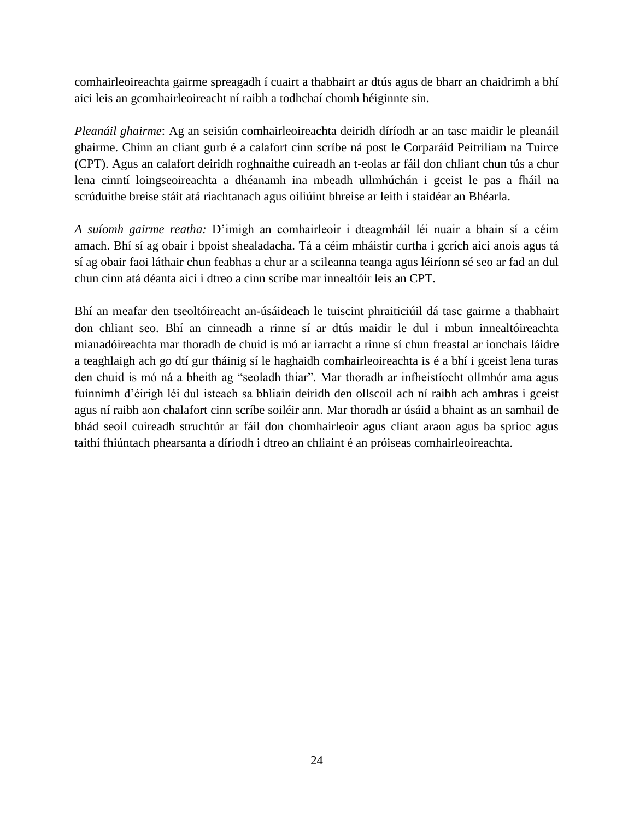comhairleoireachta gairme spreagadh í cuairt a thabhairt ar dtús agus de bharr an chaidrimh a bhí aici leis an gcomhairleoireacht ní raibh a todhchaí chomh héiginnte sin.

*Pleanáil ghairme*: Ag an seisiún comhairleoireachta deiridh díríodh ar an tasc maidir le pleanáil ghairme. Chinn an cliant gurb é a calafort cinn scríbe ná post le Corparáid Peitriliam na Tuirce (CPT). Agus an calafort deiridh roghnaithe cuireadh an t-eolas ar fáil don chliant chun tús a chur lena cinntí loingseoireachta a dhéanamh ina mbeadh ullmhúchán i gceist le pas a fháil na scrúduithe breise stáit atá riachtanach agus oiliúint bhreise ar leith i staidéar an Bhéarla.

*A suíomh gairme reatha:* D'imigh an comhairleoir i dteagmháil léi nuair a bhain sí a céim amach. Bhí sí ag obair i bpoist shealadacha. Tá a céim mháistir curtha i gcrích aici anois agus tá sí ag obair faoi láthair chun feabhas a chur ar a scileanna teanga agus léiríonn sé seo ar fad an dul chun cinn atá déanta aici i dtreo a cinn scríbe mar innealtóir leis an CPT.

Bhí an meafar den tseoltóireacht an-úsáideach le tuiscint phraiticiúil dá tasc gairme a thabhairt don chliant seo. Bhí an cinneadh a rinne sí ar dtús maidir le dul i mbun innealtóireachta mianadóireachta mar thoradh de chuid is mó ar iarracht a rinne sí chun freastal ar ionchais láidre a teaghlaigh ach go dtí gur tháinig sí le haghaidh comhairleoireachta is é a bhí i gceist lena turas den chuid is mó ná a bheith ag "seoladh thiar". Mar thoradh ar infheistíocht ollmhór ama agus fuinnimh d'éirigh léi dul isteach sa bhliain deiridh den ollscoil ach ní raibh ach amhras i gceist agus ní raibh aon chalafort cinn scríbe soiléir ann. Mar thoradh ar úsáid a bhaint as an samhail de bhád seoil cuireadh struchtúr ar fáil don chomhairleoir agus cliant araon agus ba sprioc agus taithí fhiúntach phearsanta a díríodh i dtreo an chliaint é an próiseas comhairleoireachta.